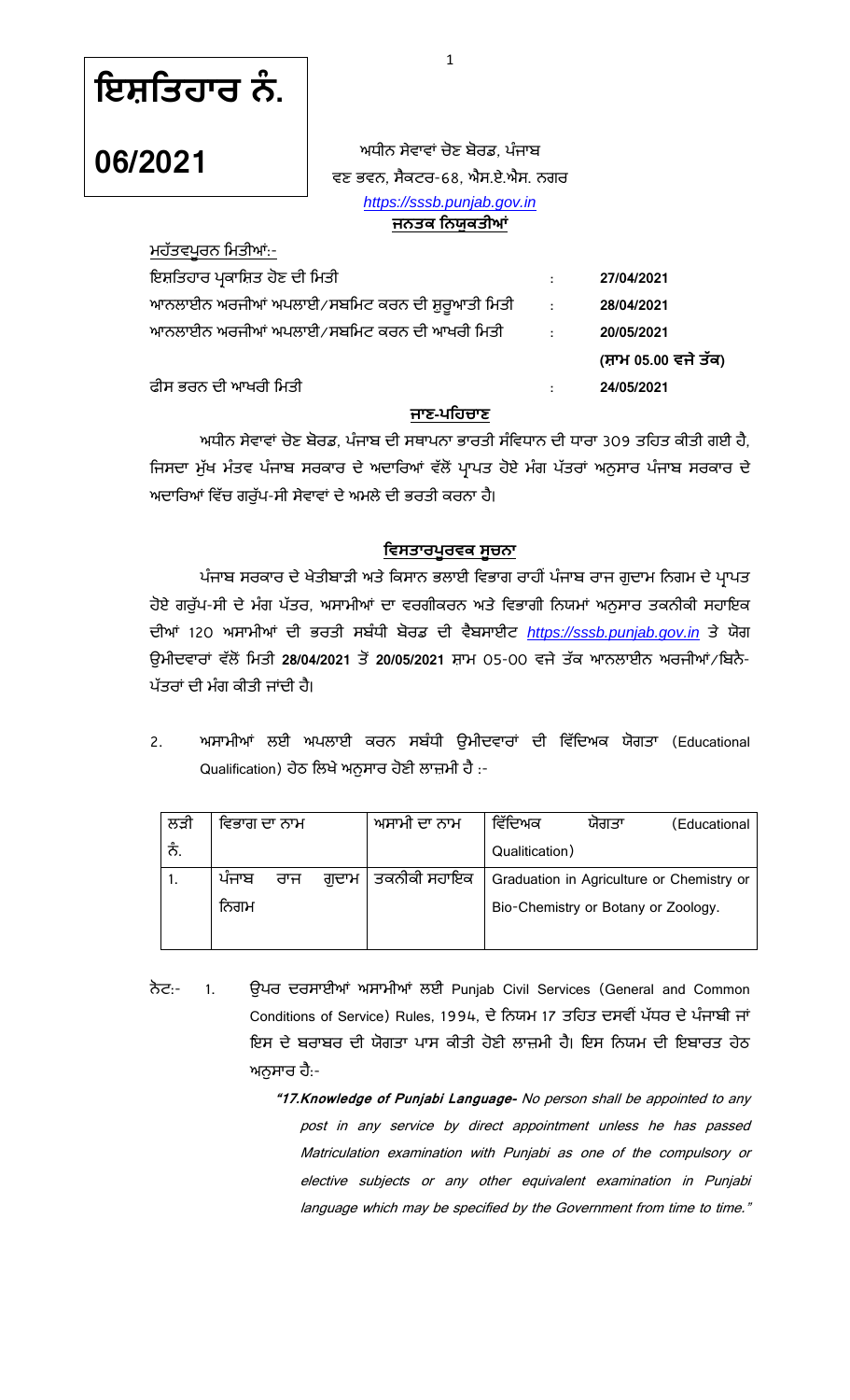ਇਸ਼ਤਿਹਾਰ ਨੰ.

ਮਹੱਤਵਪੂਰਨ ਮਿਤੀਆਂ:-

**06/2021**

ਅਧੀਨ ਸੇਵਾਵਾਂ ਚੋਣ ਬੋਰਡ. ਪੰਜਾਬ ਵਣ ਭਵਨ, ਸੈਕਟਰ-68, ਐਸ.ਏ.ਐਸ. ਨਗਰ *[https://sssb.punjab.gov.in](https://sssb.punjab.gov.in/)* ਜਨਤਕ ਨਿਯੁਕਤੀ**ਆਂ** 

| ਇਸ਼ਤਿਹਾਰ ਪ੍ਰਕਾਸ਼ਿਤ ਹੋਣ ਦੀ ਮਿਤੀ                 | ÷                | 27/04/2021           |
|------------------------------------------------|------------------|----------------------|
| ਆਨਲਾਈਨ ਅਰਜੀਆਂ ਅਪਲਾਈ∕ਸਬਮਿਟ ਕਰਨ ਦੀ ਸ਼ੁਰੁਆਤੀ ਮਿਤੀ | $\sim$ 1.        | 28/04/2021           |
| ਆਨਲਾਈਨ ਅਰਜੀਆਂ ਅਪਲਾਈ ⁄ ਸਬਮਿਟ ਕਰਨ ਦੀ ਆਖਰੀ ਮਿਤੀ   | $\sim$ 100 $\pm$ | 20/05/2021           |
|                                                |                  | (ਸ਼ਾਮ 05.00 ਵਜੇ ਤੱਕ) |
| ਫੀਸ ਭਰਨ ਦੀ ਆਖਰੀ ਮਿਤੀ                           |                  | 24/05/2021           |
|                                                |                  |                      |

#### **ਜ -**

ਅਧੀਨ ਸੇਵਾਵਾਂ ਚੋਣ ਬੋਰਡ, ਪੰਜਾਬ ਦੀ ਸਥਾਪਨਾ ਭਾਰਤੀ ਸੰਵਿਧਾਨ ਦੀ ਧਾਰਾ 309 ਤਹਿਤ ਕੀਤੀ ਗਈ ਹੈ, ਜਿਸਦਾ ਮੁੱਖ ਮੰਤਵ ਪੰਜਾਬ ਸਰਕਾਰ ਦੇ ਅਦਾਰਿਆਂ ਵੱਲੋਂ ਪ੍ਰਾਪਤ ਹੋਏ ਮੰਗ ਪੱਤਰਾਂ ਅਨੁਸਾਰ ਪੰਜਾਬ ਸਰਕਾਰ ਦੇ ਅਦਾਰਿਆਂ ਵਿੱਚ ਗਰੁੱਪ-ਸੀ ਸੇਵਾਵਾਂ ਦੇ ਅਮਲੇ ਦੀ ਭਰਤੀ ਕਰਨਾ ਹੈ।

#### <u>ਵਿਸਤਾਰਪੁਰਵਕ ਸੂਚਨਾ</u>

ਪੰਜਾਬ ਸਰਕਾਰ ਦੇ ਖੇਤੀਬਾੜੀ ਅਤੇ ਕਿਸਾਨ ਭਲਾਈ ਵਿਭਾਗ ਰਾਹੀਂ ਪੰਜਾਬ ਰਾਜ ਗੁਦਾਮ ਨਿਗਮ ਦੇ ਪ੍ਰਾਪਤ ਹੋਏ ਗਰੁੱਪ-ਸੀ ਦੇ ਮੰਗ ਪੱਤਰ, ਅਸਾਮੀਆਂ ਦਾ ਵਰਗੀਕਰਨ ਅਤੇ ਵਿਭਾਗੀ ਨਿਯਮਾਂ ਅਨੁਸਾਰ ਤਕਨੀਕੀ ਸਹਾਇਕ ਦੀਆਂ 120 ਅਸਾਮੀਆਂ ਦੀ ਭਰਤੀ ਸਬੰਧੀ ਬੋਰਡ ਦੀ ਵੈਬਸਾਈਟ <u>[https://sssb.punjab.gov.in](https://sssb.punjab.gov.in/)</u> ਤੇ ਯੋਗ ਉਮੀਦਵਾਰਾਂ ਵੱਲੋਂ ਮਿਤੀ 28/04/2021 ਤੋਂ 20/05/2021 ਸ਼ਾਮ 05-00 ਵਜੇ ਤੱਕ ਆਨਲਾਈਨ ਅਰਜੀਆਂ/ਬਿਨੈ-ਪੱਤਰਾਂ ਦੀ ਮੰਗ ਕੀਤੀ ਜਾਂਦੀ ਹੈ।

2. ਅਸਾਮੀਆਂ ਲਈ ਅਪਲਾਈ ਕਰਨ ਸਬੰਧੀ ਉਮੀਦਵਾਰਾਂ ਦੀ ਵਿੱਦਿਅਕ ਯੋਗਤਾ (Educational Qualification) ਹੇਠ ਲਿਖੇ ਅਨੁਸਾਰ ਹੋਣੀ ਲਾਜ਼ਮੀ ਹੈ :-

| ਲੜੀ | ਵਿਭਾਗ ਦਾ ਨਾਮ |     | ਅਸਾਮੀ ਦਾ ਨਾਮ        | ਵਿੱਦਿਅਕ        | ਯੋਗਤਾ                               | Educational                               |
|-----|--------------|-----|---------------------|----------------|-------------------------------------|-------------------------------------------|
| ਨੰ. |              |     |                     | Qualitication) |                                     |                                           |
|     | ਪਜਾਬ         | ਰਾਜ | ਗਦਾਮ   ਤਕਨੀਕੀ ਸਹਾਇਕ |                |                                     | Graduation in Agriculture or Chemistry or |
|     | ਨਿਗਮ         |     |                     |                | Bio-Chemistry or Botany or Zoology. |                                           |
|     |              |     |                     |                |                                     |                                           |

- ਨੋਟ:- 1. ਉਪਰ ਦਰਸਾਈਆਂ ਅਸਾਮੀਆਂ ਲਈ Punjab Civil Services (General and Common Conditions of Service) Rules, 1994, ਦੇ ਨਿਯਮ 17 ਤਹਿਤ ਦਸਵੀਂ ਪੱਧਰ ਦੇ ਪੰਜਾਬੀ ਜਾਂ ਇਸ ਦੇ ਬਰਾਬਰ ਦੀ ਯੋਗਤਾ ਪਾਸ ਕੀਤੀ ਹੋਣੀ ਲਾਜਮੀ ਹੈ। ਇਸ ਨਿਯਮ ਦੀ ਇਬਾਰਤ ਹੇਠ ਅਨਸਾਰ ਹੈ:-
	- **"17.Knowledge of Punjabi Language-** No person shall be appointed to any post in any service by direct appointment unless he has passed Matriculation examination with Punjabi as one of the compulsory or elective subjects or any other equivalent examination in Punjabi language which may be specified by the Government from time to time."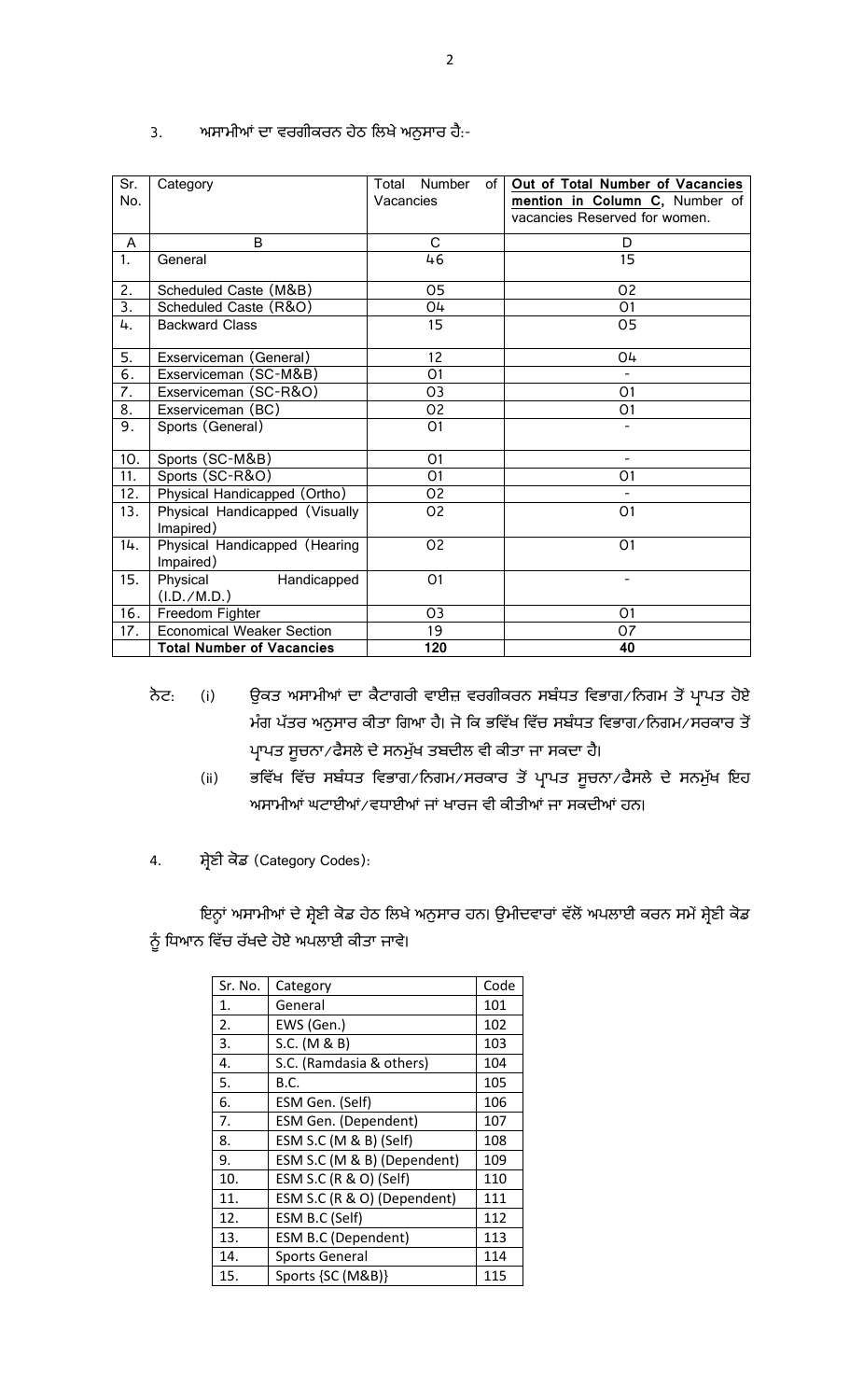| Sr.<br>No. | Category                                    | Number<br>Total<br>of I<br>Vacancies | Out of Total Number of Vacancies<br>mention in Column C, Number of<br>vacancies Reserved for women. |
|------------|---------------------------------------------|--------------------------------------|-----------------------------------------------------------------------------------------------------|
| A          | B                                           | C                                    | D                                                                                                   |
| 1.         | General                                     | 46                                   | 15                                                                                                  |
| 2.         | Scheduled Caste (M&B)                       | 05                                   | O <sub>2</sub>                                                                                      |
| 3.         | Scheduled Caste (R&O)                       | 04                                   | O <sub>1</sub>                                                                                      |
| 4.         | <b>Backward Class</b>                       | 15                                   | 05                                                                                                  |
| 5.         | Exserviceman (General)                      | 12                                   | O4                                                                                                  |
| 6.         | Exserviceman (SC-M&B)                       | 01                                   |                                                                                                     |
| 7.         | Exserviceman (SC-R&O)                       | O <sub>3</sub>                       | O <sub>1</sub>                                                                                      |
| 8.         | Exserviceman (BC)                           | O <sub>2</sub>                       | O <sub>1</sub>                                                                                      |
| 9.         | Sports (General)                            | O <sub>1</sub>                       |                                                                                                     |
| 10.        | Sports (SC-M&B)                             | O <sub>1</sub>                       | $\overline{a}$                                                                                      |
| 11.        | Sports (SC-R&O)                             | 01                                   | O <sub>1</sub>                                                                                      |
| 12.        | Physical Handicapped (Ortho)                | O <sub>2</sub>                       |                                                                                                     |
| 13.        | Physical Handicapped (Visually<br>Imapired) | 02                                   | O <sub>1</sub>                                                                                      |
| 14.        | Physical Handicapped (Hearing<br>Impaired)  | O <sub>2</sub>                       | O <sub>1</sub>                                                                                      |
| 15.        | Physical<br>Handicapped<br>(I.D./M.D.)      | O <sub>1</sub>                       | $\overline{\phantom{0}}$                                                                            |
| 16.        | Freedom Fighter                             | 03                                   | O <sub>1</sub>                                                                                      |
| 17.        | <b>Economical Weaker Section</b>            | 19                                   | O <sub>7</sub>                                                                                      |
|            | <b>Total Number of Vacancies</b>            | 120                                  | 40                                                                                                  |

## 3. ਅਸਾਮੀਆਂ ਦਾ ਵਰਗੀਕਰਨ ਹੇਠ ਲਿਖੇ ਅਨੁਸਾਰ ਹੈ:-

- ਨੋਟ: (i) ਉਕਤ ਅਸਾਮੀਆਂ ਦਾ ਕੈਟਾਗਰੀ ਵਾਈਜ਼ ਵਰਗੀਕਰਨ ਸਬੰਧਤ ਵਿਭਾਗ ਨਿਗਮ ਤੋਂ ਪ੍ਰਾਪਤ ਹੋਏ ਮੰਗ ਪੱਤਰ ਅਨੁਸਾਰ ਕੀਤਾ ਗਿਆ ਹੈੈ। ਜੋ ਕਿ ਭਵਿੱਖ ਵਿੱਚ ਸਬੰਧਤ ਵਿਭਾਗ ∕ ਨਿਗਮ ∕ ਸਰਕਾਰ ਤੋਂ ਪ੍ਰਾਪਤ ਸੂਚਨਾ⁄ ਫੈਸਲੇ ਦੇ ਸਨਮੁੱਖ ਤਬਦੀਲ ਵੀ ਕੀਤਾ ਜਾ ਸਕਦਾ ਹੈ।
	- (ii) ਭਵਿੱਖ ਵਿੱਚ ਸਬੰਧਤ ਵਿਭਾਗ/ਨਿਗਮ/ਸਰਕਾਰ ਤੋਂ ਪ੍ਰਾਪਤ ਸੂਚਨਾ/ਫੈਸਲੇ ਦੇ ਸਨਮੁੱਖ ਇਹ ਅਸਾਮੀਆਂ ਘਟਾਈਆਂ/ਵਧਾਈਆਂ ਜਾਂ ਖਾਰਜ ਵੀ ਕੀਤੀਆਂ ਜਾ ਸਕਦੀਆਂ ਹਨ।
- 4. ਸ਼੍ਰੇਣੀ ਕੋਡ (Category Codes):

ਇਨ੍ਹਾਂ ਅਸਾਮੀਆਂ ਦੇ ਸ਼੍ਰੇਣੀ ਕੋਡ ਹੇਠ ਲਿਖੇ ਅਨੁਸਾਰ ਹਨ। ਉਮੀਦਵਾਰਾਂ ਵੱਲੋਂ ਅਪਲਾਈ ਕਰਨ ਸਮੇਂ ਸ਼੍ਰੇਣੀ ਕੋਡ ਨੂੰ ਧਿਆਨ ਵਿੱਚ ਰੱਖਦੇ ਹੋਏ ਅਪਲਾਈ ਕੀਤਾ ਜਾਵੇ।

| Sr. No. | Category                    | Code |
|---------|-----------------------------|------|
| 1.      | General                     | 101  |
| 2.      | EWS (Gen.)                  | 102  |
| 3.      | S.C. (M & B)                | 103  |
| 4.      | S.C. (Ramdasia & others)    | 104  |
| 5.      | B.C.                        | 105  |
| 6.      | ESM Gen. (Self)             | 106  |
| 7.      | ESM Gen. (Dependent)        | 107  |
| 8.      | ESM S.C (M & B) (Self)      | 108  |
| 9.      | ESM S.C (M & B) (Dependent) | 109  |
| 10.     | ESM S.C (R & O) (Self)      | 110  |
| 11.     | ESM S.C (R & O) (Dependent) | 111  |
| 12.     | ESM B.C (Self)              | 112  |
| 13.     | <b>ESM B.C (Dependent)</b>  | 113  |
| 14.     | <b>Sports General</b>       | 114  |
| 15.     | Sports {SC (M&B)}           | 115  |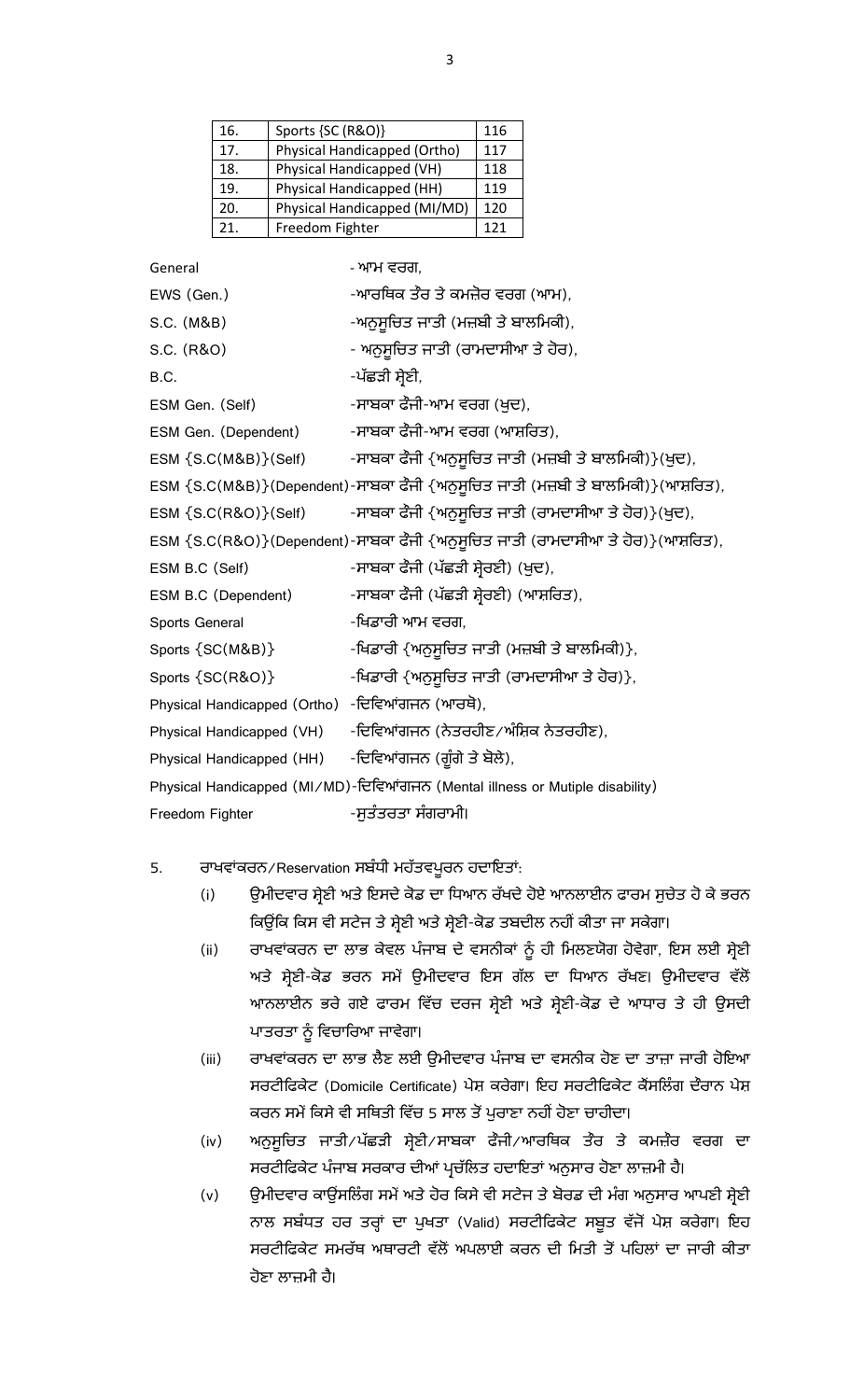| 16. | Sports {SC (R&O)}            | 116 |
|-----|------------------------------|-----|
| 17. | Physical Handicapped (Ortho) | 117 |
| 18. | Physical Handicapped (VH)    | 118 |
| 19. | Physical Handicapped (HH)    | 119 |
| 20. | Physical Handicapped (MI/MD) | 120 |
| 21. | Freedom Fighter              | 121 |

| General                      | - ਆਮ ਵਰਗ,                                                                        |
|------------------------------|----------------------------------------------------------------------------------|
| EWS (Gen.)                   | -ਆਰਥਿਕ ਤੌਰ ਤੇ ਕਮਜ਼ੋਰ ਵਰਗ (ਆਮ),                                                   |
| S.C. (M&B)                   | -ਅਨੁਸੁਚਿਤ ਜਾਤੀ (ਮਜ਼ਬੀ ਤੇ ਬਾਲਮਿਕੀ),                                               |
| S.C. (R&O)                   | - ਅਨੁਸੁਚਿਤ ਜਾਤੀ (ਰਾਮਦਾਸੀਆ ਤੇ ਹੋਰ),                                               |
| B.C.                         | -ਪੱਛੜੀ ਸ਼ੇਣੀ,                                                                    |
| ESM Gen. (Self)              | -ਸਾਬਕਾ ਫੌਜੀ-ਆਮ ਵਰਗ (ਖ਼ਦ),                                                        |
| ESM Gen. (Dependent)         | -ਸਾਬਕਾ ਫੌਜੀ-ਆਮ ਵਰਗ (ਆਸ਼ਰਿਤ),                                                     |
| ESM {S.C(M&B)}(Self)         | -ਸਾਬਕਾ ਫੌਜੀ {ਅਨੁਸੁਚਿਤ ਜਾਤੀ (ਮਜ਼ਬੀ ਤੇ ਬਾਲਮਿਕੀ)}(ਖੁਦ),                             |
|                              | ESM {S.C(M&B)}(Dependent)-ਸਾਬਕਾ ਫੌਜੀ {ਅਨੁਸੁਚਿਤ ਜਾਤੀ (ਮਜ਼ਬੀ ਤੇ ਬਾਲਮਿਕੀ)}(ਆਸ਼ਰਿਤ), |
| ESM $\{S.C(R&O)\}(Self)$     | -ਸਾਬਕਾ ਫੌਜੀ {ਅਨੁਸੁਚਿਤ ਜਾਤੀ (ਰਾਮਦਾਸੀਆ ਤੇ ਹੋਰ)}(ਖੁਦ),                              |
|                              | ESM {S.C(R&O)}(Dependent)-ਸਾਬਕਾ ਫੌਜੀ {ਅਨੁਸੂਚਿਤ ਜਾਤੀ (ਰਾਮਦਾਸੀਆ ਤੇ ਹੋਰ)}(ਆਸ਼ਰਿਤ),  |
| ESM B.C (Self)               | -ਸਾਬਕਾ ਫੌਜੀ (ਪੱਛੜੀ ਸ਼ੇਰਣੀ) (ਖੁਦ),                                                |
| ESM B.C (Dependent)          | -ਸਾਬਕਾ ਫੌਜੀ (ਪੱਛੜੀ ਸ਼੍ਰੇਰਣੀ) (ਆਸ਼ਰਿਤ),                                           |
| Sports General               | -ਖਿਡਾਰੀ ਆਮ ਵਰਗ.                                                                  |
| Sports {SC(M&B)}             | -ਖਿਡਾਰੀ {ਅਨੁਸੁਚਿਤ ਜਾਤੀ (ਮਜ਼ਬੀ ਤੇ ਬਾਲਮਿਕੀ)},                                      |
| Sports {SC(R&O)}             | -ਖਿਡਾਰੀ {ਅਨੁਸੁਚਿਤ ਜਾਤੀ (ਰਾਮਦਾਸੀਆ ਤੇ ਹੋਰ)},                                       |
| Physical Handicapped (Ortho) | -ਦਿਵਿਆਂਗਜਨ (ਆਰਥੋ),                                                               |
| Physical Handicapped (VH)    | -ਦਿਵਿਆਂਗਜਨ (ਨੇਤਰਹੀਣ∕ਅੰਸ਼ਿਕ ਨੇਤਰਹੀਣ),                                             |
| Physical Handicapped (HH)    | -ਦਿਵਿਆਂਗਜਨ (ਗੁੰਗੇ ਤੇ ਬੋਲੇ),                                                      |
|                              | Physical Handicapped (MI/MD)-ਦਿਵਿਆਂਗਜਨ (Mental illness or Mutiple disability)    |
| Freedom Fighter              | -ਸੁਤੰਤਰਤਾ ਸੰਗਰਾਮੀ।                                                               |

## 5. ਰਾਖਵਾਂਕਰਨ/Reservation ਸਬੰਧੀ ਮਹੱਤਵਪੂਰਨ ਹਦਾਇਤਾਂ:

- (i) ਉਮੀਦਵਾਰ ਸ਼੍ਰੇਣੀ ਅਤੇ ਇਸਦੇ ਕੋਡ ਦਾ ਧਿਆਨ ਰੱਖਦੇ ਹੋਏ ਆਨਲਾਈਨ ਫਾਰਮ ਸੁਚੇਤ ਹੋ ਕੇ ਭਰਨ ਕਿਉਂਕਿ ਕਿਸ ਵੀ ਸਟੇਜ ਤੇ ਸ਼੍ਰੇਣੀ ਅਤੇ ਸ਼੍ਰੇਣੀ-ਕੋਡ ਤਬਦੀਲ ਨਹੀਂ ਕੀਤਾ ਜਾ ਸਕੇਗਾ।
- (ii) ਰਾਖਵਾਂਕਰਨ ਦਾ ਲਾਭ ਕੇਵਲ ਪੰਜਾਬ ਦੇ ਵਸਨੀਕਾਂ ਨੂੰ ਹੀ ਮਿਲਣਯੋਗ ਹੋਵੇਗਾ, ਇਸ ਲਈ ਸ਼੍ਰੇਣੀ ਅਤੇ ਸ਼੍ਰੇਣੀ-ਕੋਡ ਭਰਨ ਸਮੇਂ ਉਮੀਦਵਾਰ ਇਸ ਗੱਲ ਦਾ ਧਿਆਨ ਰੱਖਣ। ਉਮੀਦਵਾਰ ਵੱਲੋਂ ਆਨਲਾਈਨ ਭਰੇ ਗਏ ਫਾਰਮ ਵਿੱਚ ਦਰਜ ਸ਼੍ਰੇਣੀ ਅਤੇ ਸ਼੍ਰੇਣੀ-ਕੋਡ ਦੇ ਆਧਾਰ ਤੇ ਹੀ ਉਸਦੀ ਪਾਤਰਤਾ ਨੂੰ ਵਿਚਾਰਿਆ ਜਾਵੇਗਾ।
- (iii) ਰਾਖਵਾਂਕਰਨ ਦਾ ਲਾਭ ਲੈਣ ਲਈ ਉਮੀਦਵਾਰ ਪੰਜਾਬ ਦਾ ਵਸਨੀਕ ਹੋਣ ਦਾ ਤਾਜ਼ਾ ਜਾਰੀ ਹੋਇਆ ਸਰਟੀਫਿਕੇਟ (Domicile Certificate) ਪੇਸ਼ ਕਰੇਗਾ। ਇਹ ਸਰਟੀਫਿਕੇਟ ਕੈਂਸਲਿੰਗ ਦੌਰਾਨ ਪੇਸ਼ ਕਰਨ ਸਮੇਂ ਕਿਸੇ ਵੀ ਸਥਿਤੀ ਵਿੱਚ 5 ਸਾਲ ਤੋਂ ਪੁਰਾਣਾ ਨਹੀਂ ਹੋਣਾ ਚਾਹੀਦਾ।
- (iv) ਅਨੁਸੁਚਿਤ ਜਾਤੀ/ਪੱਛੜੀ ਸ਼੍ਰੇਣੀ/ਸਾਬਕਾ ਫੌਜੀ/ਆਰਥਿਕ ਤੌਰ ਤੇ ਕਮਜ਼ੌਰ ਵਰਗ ਦਾ ਸਰਟੀਫਿਕੇਟ ਪੰਜਾਬ ਸਰਕਾਰ ਦੀਆਂ ਪ੍ਰਚੱਲਿਤ ਹਦਾਇਤਾਂ ਅਨੁਸਾਰ ਹੋਣਾ ਲਾਜ਼ਮੀ ਹੈ।
- (v) ਉਮੀਦਵਾਰ ਕਾਊਂਸਲਿੰਗ ਸਮੇਂ ਅਤੇ ਹੋਰ ਕਿਸੇ ਵੀ ਸਟੇਜ ਤੇ ਬੋਰਡ ਦੀ ਮੰਗ ਅਨੁਸਾਰ ਆਪਣੀ ਸ਼੍ਰੇਣੀ ਨਾਲ ਸਬੰਧਤ ਹਰ ਤਰ੍ਹਾਂ ਦਾ ਪੁਖਤਾ (Valid) ਸਰਟੀਫਿਕੇਟ ਸਬੂਤ ਵੱਜੋਂ ਪੇਸ਼ ਕਰੇਗਾ। ਇਹ ਸਰਟੀਫਿਕੇਟ ਸਮਰੱਥ ਅਥਾਰਟੀ ਵੱਲੋਂ ਅਪਲਾਈ ਕਰਨ ਦੀ ਮਿਤੀ ਤੋਂ ਪਹਿਲਾਂ ਦਾ ਜਾਰੀ ਕੀਤਾ ਹੋਣਾ ਲਾਜ਼ਮੀ ਹੈ।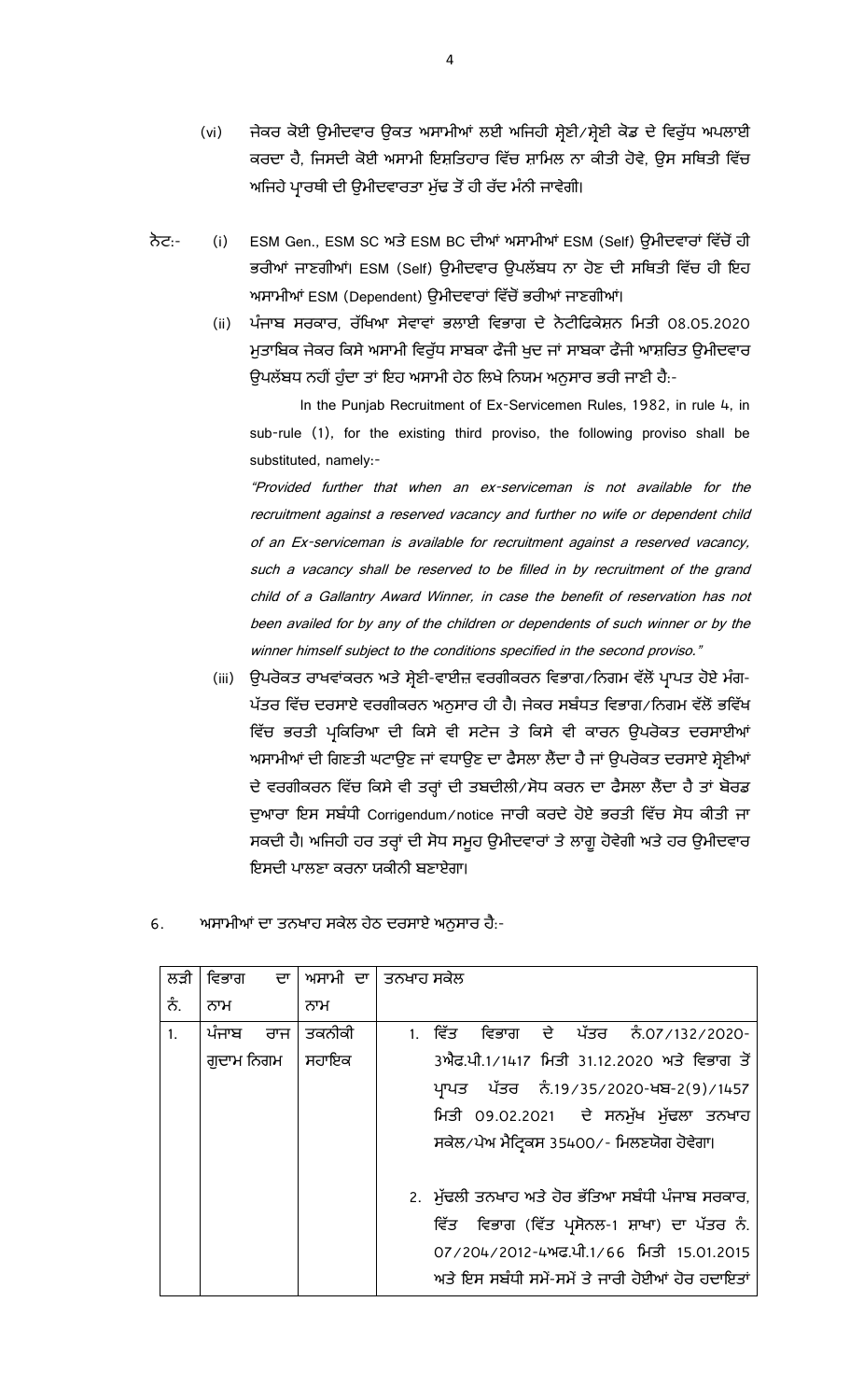- (vi) ਜੇਕਰ ਕੋਈ ਉਮੀਦਵਾਰ ਉਕਤ ਅਸਾਮੀਆਂ ਲਈ ਅਜਿਹੀ ਸ਼੍ਰੇਣੀ ⁄ਸ਼੍ਰੇਣੀ ਕੋਡ ਦੇ ਵਿਰੁੱਧ ਅਪਲਾਈ ਕਰਦਾ ਹੈ, ਜਿਸਦੀ ਕੋਈ ਅਸਾਮੀ ਇਸ਼ਤਿਹਾਰ ਵਿੱਚ ਸ਼ਾਮਿਲ ਨਾ ਕੀਤੀ ਹੋਵੇ, ਉਸ ਸਥਿਤੀ ਵਿੱਚ ਅਜਿਹੇ ਪ੍ਰਾਰਥੀ ਦੀ ਉਮੀਦਵਾਰਤਾ ਮੁੱਢ ਤੋਂ ਹੀ ਰੱਦ ਮੰਨੀ ਜਾਵੇਗੀ।
- ਨੋਟ:- (i) ESM Gen., ESM SC ਅਤੇ ESM BC ਦੀਆਂ ਅਸਾਮੀਆਂ ESM (Self) ਉਮੀਦਵਾਰਾਂ ਵਿੱਚੋਂ ਹੀ ਭਰੀਆਂ ਜਾਣਗੀਆਂ। ESM (Self) ਉਮੀਦਵਾਰ ਉਪਲੱਬਧ ਨਾ ਹੋਣ ਦੀ ਸਥਿਤੀ ਵਿੱਚ ਹੀ ਇਹ ਅਸਾਮੀਆਂ ESM (Dependent) ਉਮੀਦਵਾਰਾਂ ਵਿੱਚੋਂ ਭਰੀਆਂ ਜਾਣਗੀਆਂ।
	- (ii) ਪੰਜਾਬ ਸਰਕਾਰ, ਰੱਖਿਆ ਸੇਵਾਵਾਂ ਭਲਾਈ ਵਿਭਾਗ ਦੇ ਨੋਟੀਫਿਕੇਸ਼ਨ ਮਿਤੀ 08.05.2020 ਮਤਾਬਿਕ ਜੇਕਰ ਕਿਸੇ ਅਸਾਮੀ ਵਿਰੱਧ ਸਾਬਕਾ ਫੌਜੀ ਖਦ ਜਾਂ ਸਾਬਕਾ ਫੌਜੀ ਆਸ਼ਰਿਤ ੳਮੀਦਵਾਰ ਉਪਲੱਬਧ ਨਹੀਂ ਹੁੰਦਾ ਤਾਂ ਇਹ ਅਸਾਮੀ ਹੇਠ ਲਿਖੇ ਨਿਯਮ ਅਨੁਸਾਰ ਭਰੀ ਜਾਣੀ ਹੈ:-

In the Punjab Recruitment of Ex-Servicemen Rules, 1982, in rule 4, in sub-rule (1), for the existing third proviso, the following proviso shall be substituted, namely:-

"Provided further that when an ex-serviceman is not available for the recruitment against a reserved vacancy and further no wife or dependent child of an Ex-serviceman is available for recruitment against a reserved vacancy, such a vacancy shall be reserved to be filled in by recruitment of the grand child of a Gallantry Award Winner, in case the benefit of reservation has not been availed for by any of the children or dependents of such winner or by the winner himself subject to the conditions specified in the second proviso."

(iii) ਉਪਰੋਕਤ ਰਾਖਵਾਂਕਰਨ ਅਤੇ ਸ਼੍ਰੇਣੀ-ਵਾਈਜ਼ ਵਰਗੀਕਰਨ ਵਿਭਾਗ /ਨਿਗਮ ਵੱਲੋਂ ਪ੍ਰਾਪਤ ਹੋਏ ਮੰਗ-ਪੱਤਰ ਵਿੱਚ ਦਰਸਾਏ ਵਰਗੀਕਰਨ ਅਨੁਸਾਰ ਹੀ ਹੈ। ਜੇਕਰ ਸਬੰਧਤ ਵਿਭਾਗ ∕ ਨਿਗਮ ਵੱਲੋਂ ਭਵਿੱਖ ਵਿੱਚ ਭਰਤੀ ਪ੍ਰਕਿਰਿਆ ਦੀ ਕਿਸੇ ਵੀ ਸਟੇਜ ਤੇ ਕਿਸੇ ਵੀ ਕਾਰਨ ਉਪਰੋਕਤ ਦਰਸਾਈਆਂ ਅਸਾਮੀਆਂ ਦੀ ਗਿਣਤੀ ਘਟਾਉਣ ਜਾਂ ਵਧਾਉਣ ਦਾ ਫੈਸਲਾ ਲੈਂਦਾ ਹੈ ਜਾਂ ਉਪਰੋਕਤ ਦਰਸਾਏ ਸ਼ੇਣੀਆਂ ਦੇ ਵਰਗੀਕਰਨ ਵਿੱਚ ਕਿਸੇ ਵੀ ਤਰ੍ਹਾਂ ਦੀ ਤਬਦੀਲੀ ∕ਸੋਧ ਕਰਨ ਦਾ ਫੈਸਲਾ ਲੈਂਦਾ ਹੈ ਤਾਂ ਬੋਰਡ ਦੁਆਰਾ ਇਸ ਸਬੰਧੀ Corrigendum/notice ਜਾਰੀ ਕਰਦੇ ਹੋਏ ਭਰਤੀ ਵਿੱਚ ਸੋਧ ਕੀਤੀ ਜਾ ਸਕਦੀ ਹੈ। ਅਜਿਹੀ ਹਰ ਤਰ੍ਹਾਂ ਦੀ ਸੋਧ ਸਮੁਹ ਉਮੀਦਵਾਰਾਂ ਤੇ ਲਾਗੂ ਹੋਵੇਗੀ ਅਤੇ ਹਰ ਉਮੀਦਵਾਰ ਇਸਦੀ ਪਾਲਣਾ ਕਰਨਾ ਯਕੀਨੀ ਬਣਾਏਗਾ।

| ਅਸਾਮੀਆਂ ਦਾ ਤਨਖਾਹ ਸਕੇਲ ਹੇਠ ਦਰਸਾਏ ਅਨੁਸਾਰ ਹੈ:- |
|---------------------------------------------|
|                                             |

| ਲੜੀ     |           | ਵਿਭਾਗ ਦਾ   ਅਸਾਮੀ ਦਾ   ਤਨਖਾਹ ਸਕੇਲ |  |         |                                                  |  |  |  |
|---------|-----------|----------------------------------|--|---------|--------------------------------------------------|--|--|--|
| ਨੰ.     | ਨਾਮ       | ਨਾਮ                              |  |         |                                                  |  |  |  |
| $1_{-}$ | ਪੰਜਾਬ ਰਾਜ | ਤਕਨੀਕੀ                           |  | 1. ਵਿੱਤ | ਵਿਭਾਗ ਦੇ ਪੱਤਰ ਨੰ.07/132/2020-                    |  |  |  |
|         | ਗਦਾਮ ਨਿਗਮ | ਸਹਾਇਕ                            |  |         | 3ਐਫ.ਪੀ.1/1417 ਮਿਤੀ 31.12.2020 ਅਤੇ ਵਿਭਾਗ ਤੋਂ      |  |  |  |
|         |           |                                  |  |         | ਪ੍ਰਾਪਤ ਪੱਤਰ ਨੰ.19/35/2020-ਖਬ-2(9)/1457           |  |  |  |
|         |           |                                  |  |         | ਮਿਤੀ 09.02.2021 ਦੇ ਸਨਮੁੱਖ ਮੁੱਢਲਾ ਤਨਖਾਹ           |  |  |  |
|         |           |                                  |  |         | ਸਕੇਲ/ਪੇਅ ਮੈਟ੍ਰਿਕਸ 35400/- ਮਿਲਣਯੋਗ ਹੋਵੇਗਾ।        |  |  |  |
|         |           |                                  |  |         | 2. ਮੁੱਢਲੀ ਤਨਖਾਹ ਅਤੇ ਹੋਰ ਭੱਤਿਆ ਸਬੰਧੀ ਪੰਜਾਬ ਸਰਕਾਰ, |  |  |  |
|         |           |                                  |  |         | ਵਿੱਤ ਵਿਭਾਗ (ਵਿੱਤ ਪ੍ਰਸੋਨਲ-1 ਸ਼ਾਖਾ) ਦਾ ਪੱਤਰ ਨੰ.    |  |  |  |
|         |           |                                  |  |         | 07/204/2012-4ਅਫ.ਪੀ.1/66 ਮਿਤੀ 15.01.2015          |  |  |  |
|         |           |                                  |  |         | ਅਤੇ ਇਸ ਸਬੰਧੀ ਸਮੇਂ-ਸਮੇਂ ਤੇ ਜਾਰੀ ਹੋਈਆਂ ਹੋਰ ਹਦਾਇਤਾਂ |  |  |  |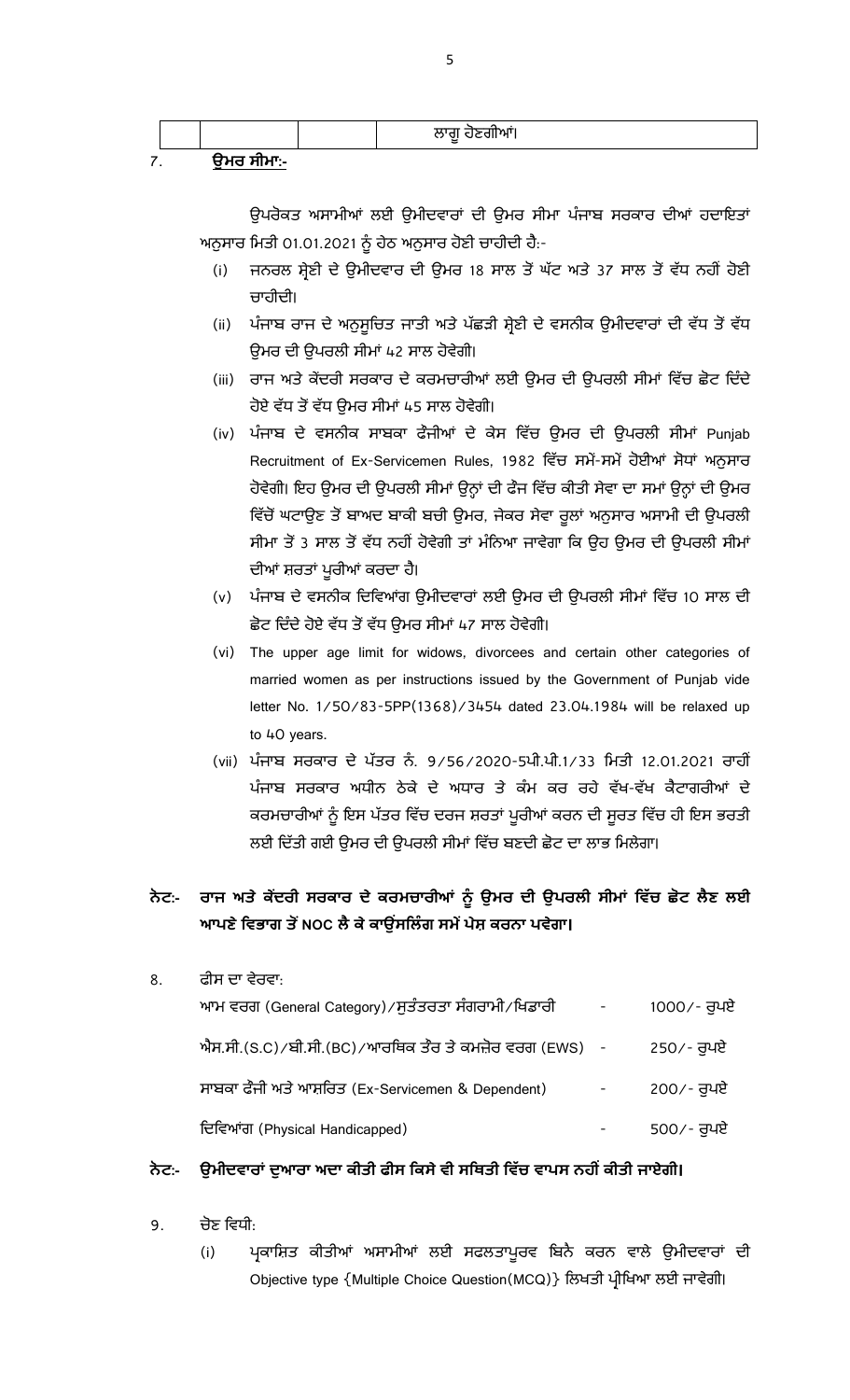|   |            | ਲਾਗੂ ਹੋਣਗੀਆ। |  |
|---|------------|--------------|--|
| ⇁ | ੳਮਰ ਸੀਮਾ:- |              |  |

ਉਪਰੋਕਤ ਅਸਾਮੀਆਂ ਲਈ ਉਮੀਦਵਾਰਾਂ ਦੀ ਉਮਰ ਸੀਮਾ ਪੰਜਾਬ ਸਰਕਾਰ ਦੀਆਂ ਹਦਾਇਤਾਂ ਅਨੁਸਾਰ ਮਿਤੀ 01.01.2021 ਨੂੰ ਹੇਠ ਅਨੁਸਾਰ ਹੋਣੀ ਚਾਹੀਦੀ ਹੈ:-

- (i) ਜਨਰਲ ਸ਼੍ਰੇਣੀ ਦੇ ਉਮੀਦਵਾਰ ਦੀ ਉਮਰ 18 ਸਾਲ ਤੋਂ ਘੱਟ ਅਤੇ 37 ਸਾਲ ਤੋਂ ਵੱਧ ਨਹੀਂ ਹੋਣੀ ਚਾਹੀਦੀ।
- (ii) ਪੰਜਾਬ ਰਾਜ ਦੇ ਅਨੁਸੁਚਿਤ ਜਾਤੀ ਅਤੇ ਪੱਛੜੀ ਸ਼੍ਰੇਣੀ ਦੇ ਵਸਨੀਕ ਉਮੀਦਵਾਰਾਂ ਦੀ ਵੱਧ ਤੋਂ ਵੱਧ ਓਮਰ ਦੀ ੳਪਰਲੀ ਸੀਮਾਂ 42 ਸਾਲ ਹੋਵੇਗੀ।
- (iii) ਰਾਜ ਅਤੇ ਕੇਂਦਰੀ ਸਰਕਾਰ ਦੇ ਕਰਮਚਾਰੀਆਂ ਲਈ ਉਮਰ ਦੀ ਉਪਰਲੀ ਸੀਮਾਂ ਵਿੱਚ ਛੋਟ ਦਿੰਦੇ ਹੋਏ ਵੱਧ ਤੋਂ ਵੱਧ ਉਮਰ ਸੀਮਾਂ 45 ਸਾਲ ਹੋਵੇਗੀ।
- (iv) ਪੰਜਾਬ ਦੇ ਵਸਨੀਕ ਸਾਬਕਾ ਫੌਜੀਆਂ ਦੇ ਕੇਸ ਵਿੱਚ ਉਮਰ ਦੀ ਉਪਰਲੀ ਸੀਮਾਂ Punjab Recruitment of Ex-Servicemen Rules, 1982 ਵਿੱਚ ਸਮੇਂ-ਸਮੇਂ ਹੋਈਆਂ ਸੋਧਾਂ ਅਨੁਸਾਰ ਹੋਵੇਗੀ। ਇਹ ਉਮਰ ਦੀ ਉਪਰਲੀ ਸੀਮਾਂ ਉਨ੍ਹਾਂ ਦੀ ਫੌਜ ਵਿੱਚ ਕੀਤੀ ਸੇਵਾ ਦਾ ਸਮਾਂ ਉਨ੍ਹਾਂ ਦੀ ਉਮਰ ਵਿੱਚੋਂ ਘਟਾਉਣ ਤੋਂ ਬਾਅਦ ਬਾਕੀ ਬਚੀ ਉਮਰ, ਜੇਕਰ ਸੇਵਾ ਰੁਲਾਂ ਅਨੁਸਾਰ ਅਸਾਮੀ ਦੀ ਉਪਰਲੀ ਸੀਮਾ ਤੋਂ 3 ਸਾਲ ਤੋਂ ਵੱਧ ਨਹੀਂ ਹੋਵੇਗੀ ਤਾਂ ਮੰਨਿਆ ਜਾਵੇਗਾ ਕਿ ਉਹ ਉਮਰ ਦੀ ਉਪਰਲੀ ਸੀਮਾਂ ਦੀਆਂ ਸ਼ਰਤਾਂ ਪੁਰੀਆਂ ਕਰਦਾ ਹੈ।
- (v) ਪੰਜਾਬ ਦੇ ਵਸਨੀਕ ਦਿਵਿਆਂਗ ਉਮੀਦਵਾਰਾਂ ਲਈ ਉਮਰ ਦੀ ਉਪਰਲੀ ਸੀਮਾਂ ਵਿੱਚ 10 ਸਾਲ ਦੀ ਛੋਟ ਦਿੰਦੇ ਹੋਏ ਵੱਧ ਤੋਂ ਵੱਧ ਉਮਰ ਸੀਮਾਂ 47 ਸਾਲ ਹੋਵੇਗੀ।
- (vi) The upper age limit for widows, divorcees and certain other categories of married women as per instructions issued by the Government of Punjab vide letter No. 1/50/83-5PP(1368)/3454 dated 23.04.1984 will be relaxed up to 40 years.
- (vii) ਪੰਜਾਬ ਸਰਕਾਰ ਦੇ ਪੱਤਰ ਨੰ. 9/56/2020-5ਪੀ.ਪੀ.1/33 ਮਿਤੀ 12.01.2021 ਰਾਹੀਂ ਪੰਜਾਬ ਸਰਕਾਰ ਅਧੀਨ ਠੇਕੇ ਦੇ ਅਧਾਰ ਤੇ ਕੰਮ ਕਰ ਰਹੇ ਵੱਖ-ਵੱਖ ਕੈਟਾਗਰੀਆਂ ਦੇ ਕਰਮਚਾਰੀਆਂ ਨੂੰ ਇਸ ਪੱਤਰ ਵਿੱਚ ਦਰਜ ਸ਼ਰਤਾਂ ਪੁਰੀਆਂ ਕਰਨ ਦੀ ਸੂਰਤ ਵਿੱਚ ਹੀ ਇਸ ਭਰਤੀ ਲਈ ਦਿੱਤੀ ਗਈ ਉਮਰ ਦੀ ਉਪਰਲੀ ਸੀਮਾਂ ਵਿੱਚ ਬਣਦੀ ਛੋਟ ਦਾ ਲਾਭ ਮਿਲੇਗਾ।

# ਨੇਟ:- ਰਾਜ ਅਤੇ ਕੇਂਦਰੀ ਸਰਕਾਰ ਦੇ ਕਰਮਚਾਰੀਆਂ ਨੂੰ ਉਮਰ ਦੀ ਉਪਰਲੀ ਸੀਮਾਂ ਵਿੱਚ ਛੋਟ ਲੈਣ ਲਈ ਆਪਣੇ ਵਿਭਾਗ ਤੋਂ NOC ਲੈ ਕੇ ਕਾਉਂਸਲਿੰਗ ਸਮੇਂ ਪੇਸ਼ ਕਰਨਾ ਪਵੇਗਾ।

| 8. | ਫੀਸ ਦਾ ਵੇਰਵਾ:                                                |             |
|----|--------------------------------------------------------------|-------------|
|    | ਆਮ ਵਰਗ (General Category) ∕ ਸੁਤੰਤਰਤਾ ਸੰਗਰਾਮੀ ⁄ ਖਿਡਾਰੀ        | 1000/- ਰੁਪਏ |
|    | ਐਸ.ਸੀ.(S.C) ⁄ ਬੀ.ਸੀ.(BC) ⁄ ਆਰਥਿਕ ਤੌਰ ਤੇ ਕਮਜ਼ੋਰ ਵਰਗ (EWS)   - | 250⁄- ਰੁਪਏ  |
|    | ਸਾਬਕਾ ਫੌਜੀ ਅਤੇ ਆਸ਼ਰਿਤ (Ex-Servicemen & Dependent)            | 200⁄- ਰੁਪਏ  |
|    | ਦਿਵਿਆਂਗ (Physical Handicapped)                               | 500⁄- ਰੁਪਏ  |

#### ਨੇਟ:- ਉਮੀਦਵਾਰਾਂ ਦੁਆਰਾ ਅਦਾ ਕੀਤੀ ਫੀਸ ਕਿਸੇ ਵੀ ਸਥਿਤੀ ਵਿੱਚ ਵਾਪਸ ਨਹੀਂ ਕੀਤੀ ਜਾਏਗੀ।

- 9. ਚੋਣ ਵਿਧੀ:
	- (i) ਪ੍ਰਕਾਸ਼ਿਤ ਕੀਤੀਆਂ ਅਸਾਮੀਆਂ ਲਈ ਸਫਲਤਾਪੁਰਵ ਬਿਨੈ ਕਰਨ ਵਾਲੇ ਉਮੀਦਵਾਰਾਂ ਦੀ Objective type {Multiple Choice Question(MCQ)} ਲਿਖਤੀ ਪ੍ਰੀਖਿਆ ਲਈ ਜਾਵੇਗੀ।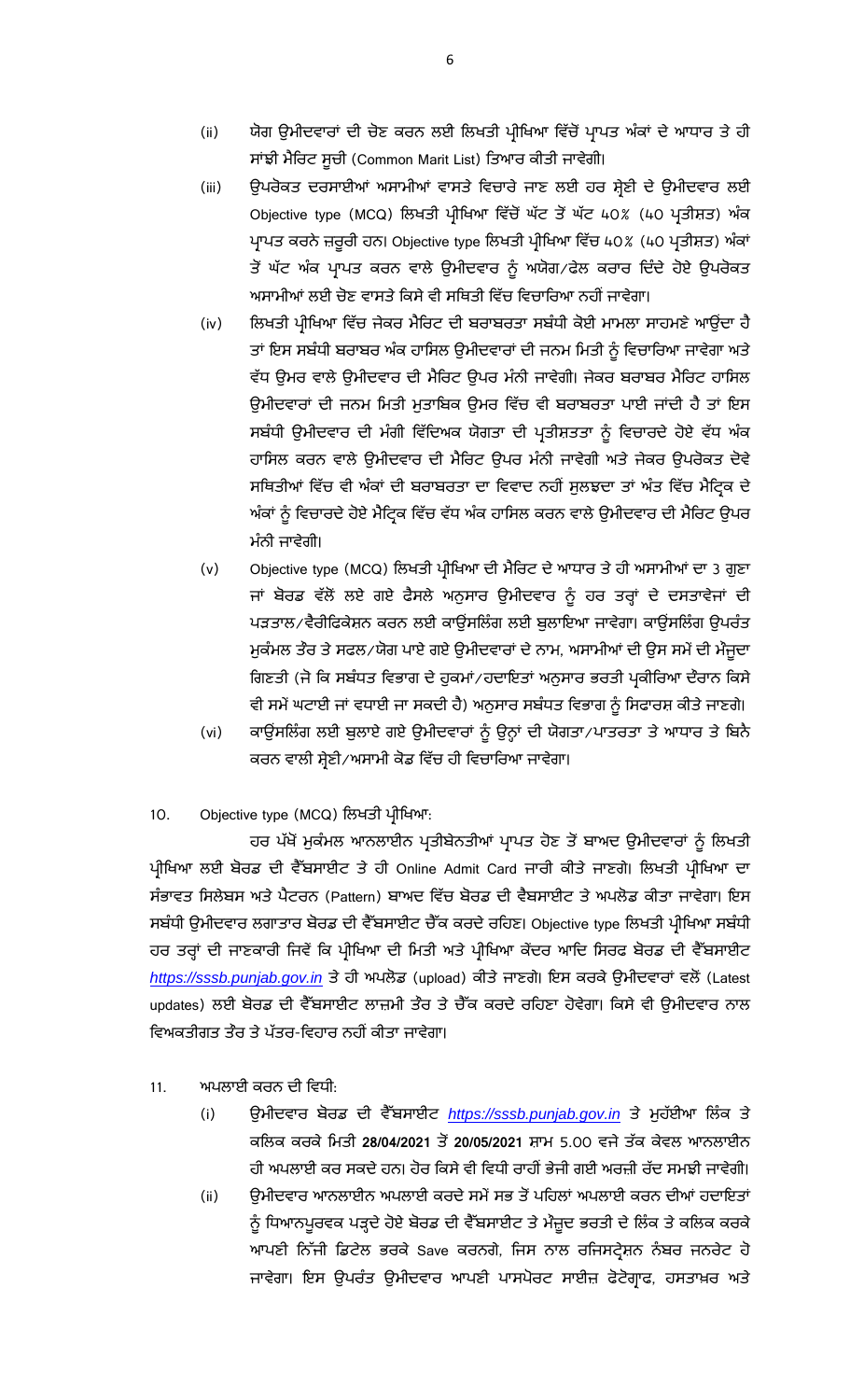- (ii) ਯੋਗ ਉਮੀਦਵਾਰਾਂ ਦੀ ਚੋਣ ਕਰਨ ਲਈ ਲਿਖਤੀ ਪ੍ਰੀਖਿਆ ਵਿੱਚੋਂ ਪ੍ਰਾਪਤ ਅੰਕਾਂ ਦੇ ਆਧਾਰ ਤੇ ਹੀ ਸਾਂਝੀ ਮੈਰਿਟ ਸੁਚੀ (Common Marit List) ਤਿਆਰ ਕੀਤੀ ਜਾਵੇਗੀ।
- (iii) ਉਪਰੋਕਤ ਦਰਸਾਈਆਂ ਅਸਾਮੀਆਂ ਵਾਸਤੇ ਵਿਚਾਰੇ ਜਾਣ ਲਈ ਹਰ ਸ਼੍ਰੇਣੀ ਦੇ ਉਮੀਦਵਾਰ ਲਈ Objective type (MCQ) ਲਿਖਤੀ ਪ੍ਰੀਖਿਆ ਵਿੱਚੋਂ ਘੱਟ ਤੋਂ ਘੱਟ 40% (40 ਪ੍ਰਤੀਸ਼ਤ) ਅੰਕ ਪ੍ਰਾਪਤ ਕਰਨੇ ਜ਼ਰੂਰੀ ਹਨ। Objective type ਲਿਖਤੀ ਪ੍ਰੀਖਿਆ ਵਿੱਚ 40% (40 ਪ੍ਰਤੀਸ਼ਤ) ਅੰਕਾਂ ਤੋਂ ਘੱਟ ਅੰਕ ਪ੍ਰਾਪਤ ਕਰਨ ਵਾਲੇ ਉਮੀਦਵਾਰ ਨੂੰ ਅਯੋਗ∕ਫੇਲ ਕਰਾਰ ਦਿੰਦੇ ਹੋਏ ਉਪਰੋਕਤ ਅਸਾਮੀਆਂ ਲਈ ਚੋਣ ਵਾਸਤੇ ਕਿਸੇ ਵੀ ਸਥਿਤੀ ਵਿੱਚ ਵਿਚਾਰਿਆ ਨਹੀਂ ਜਾਵੇਗਾ।
- (iv) ਲਿਖਤੀ ਪ੍ਰੀਖਿਆ ਵਿੱਚ ਜੇਕਰ ਮੈਰਿਟ ਦੀ ਬਰਾਬਰਤਾ ਸਬੰਧੀ ਕੋਈ ਮਾਮਲਾ ਸਾਹਮਣੇ ਆਉਂਦਾ ਹੈ ਤਾਂ ਇਸ ਸਬੰਧੀ ਬਰਾਬਰ ਅੰਕ ਹਾਸਿਲ ਉਮੀਦਵਾਰਾਂ ਦੀ ਜਨਮ ਮਿਤੀ ਨੂੰ ਵਿਚਾਰਿਆ ਜਾਵੇਗਾ ਅਤੇ ਵੱਧ ੳਮਰ ਵਾਲੇ ੳਮੀਦਵਾਰ ਦੀ ਮੈਰਿਟ ੳਪਰ ਮੰਨੀ ਜਾਵੇਗੀ। ਜੇਕਰ ਬਰਾਬਰ ਮੈਰਿਟ ਹਾਸਿਲ ਉਮੀਦਵਾਰਾਂ ਦੀ ਜਨਮ ਮਿਤੀ ਮੁਤਾਬਿਕ ਉਮਰ ਵਿੱਚ ਵੀ ਬਰਾਬਰਤਾ ਪਾਈ ਜਾਂਦੀ ਹੈ ਤਾਂ ਇਸ ਸਬੰਧੀ ਉਮੀਦਵਾਰ ਦੀ ਮੰਗੀ ਵਿੱਦਿਅਕ ਯੋਗਤਾ ਦੀ ਪ੍ਰਤੀਸ਼ਤਤਾ ਨੂੰ ਵਿਚਾਰਦੇ ਹੋਏ ਵੱਧ ਅੰਕ ਹਾਸਿਲ ਕਰਨ ਵਾਲੇ ਉਮੀਦਵਾਰ ਦੀ ਮੈਰਿਟ ਉਪਰ ਮੰਨੀ ਜਾਵੇਗੀ ਅਤੇ ਜੇਕਰ ਉਪਰੋਕਤ ਦੋਵੇ ਸਥਿਤੀਆਂ ਵਿੱਚ ਵੀ ਅੰਕਾਂ ਦੀ ਬਰਾਬਰਤਾ ਦਾ ਵਿਵਾਦ ਨਹੀਂ ਸੁਲਝਦਾ ਤਾਂ ਅੰਤ ਵਿੱਚ ਮੈਟ੍ਰਿਕ ਦੇ ਅੰਕਾਂ ਨੂੰ ਵਿਚਾਰਦੇ ਹੋਏ ਮੈਟ੍ਰਿਕ ਵਿੱਚ ਵੱਧ ਅੰਕ ਹਾਸਿਲ ਕਰਨ ਵਾਲੇ ਉਮੀਦਵਾਰ ਦੀ ਮੈਰਿਟ ਉਪਰ ਮੰਨੀ ਜਾਵੇਗੀ।
- (v) Objective type (MCQ) ਲਿਖਤੀ ਪ੍ਰੀਖਿਆ ਦੀ ਮੈਰਿਟ ਦੇ ਆਧਾਰ ਤੇ ਹੀ ਅਸਾਮੀਆਂ ਦਾ 3 ਗੁਣਾ ਜਾਂ ਬੋਰਡ ਵੱਲੋਂ ਲਏ ਗਏ ਫੈਸਲੇ ਅਨੁਸਾਰ ਉਮੀਦਵਾਰ ਨੂੰ ਹਰ ਤਰ੍ਹਾਂ ਦੇ ਦਸਤਾਵੇਜਾਂ ਦੀ ਪੜਤਾਲ⁄ ਵੈਰੀਫਿਕੇਸ਼ਨ ਕਰਨ ਲਈ ਕਾਊਂਸਲਿੰਗ ਲਈ ਬੁਲਾਇਆ ਜਾਵੇਗਾ। ਕਾਊਂਸਲਿੰਗ ਉਪਰੰਤ ਮੁਕੰਮਲ ਤੌਰ ਤੇ ਸਫਲ/ਯੋਗ ਪਾਏ ਗਏ ਉਮੀਦਵਾਰਾਂ ਦੇ ਨਾਮ, ਅਸਾਮੀਆਂ ਦੀ ਉਸ ਸਮੇਂ ਦੀ ਮੌਜੂਦਾ ਗਿਣਤੀ (ਜੋ ਕਿ ਸਬੰਧਤ ਵਿਭਾਗ ਦੇ ਹੁਕਮਾਂ∕ਹਦਾਇਤਾਂ ਅਨੁਸਾਰ ਭਰਤੀ ਪ੍ਰਕੀਰਿਆ ਦੌਰਾਨ ਕਿਸੇ ਵੀ ਸਮੇਂ ਘਟਾਈ ਜਾਂ ਵਧਾਈ ਜਾ ਸਕਦੀ ਹੈ) ਅਨੁਸਾਰ ਸਬੰਧਤ ਵਿਭਾਗ ਨੂੰ ਸਿਫਾਰਸ਼ ਕੀਤੇ ਜਾਣਗੇ।
- (vi) ਕਾਊਂਸਲਿੰਗ ਲਈ ਬੁਲਾਏ ਗਏ ਉਮੀਦਵਾਰਾਂ ਨੂੰ ਉਨ੍ਹਾਂ ਦੀ ਯੋਗਤਾ/ਪਾਤਰਤਾ ਤੇ ਆਧਾਰ ਤੇ ਬਿਨੈ ਕਰਨ ਵਾਲੀ ਸ਼੍ਰੇਣੀ ⁄ ਅਸਾਮੀ ਕੋਡ ਵਿੱਚ ਹੀ ਵਿਚਾਰਿਆ ਜਾਵੇਗਾ।
- 10. Objective type (MCQ) ਲਿਖਤੀ ਪ੍ਰੀਖਿਆ:

ਹਰ ਪੱਖੋਂ ਮੁਕੰਮਲ ਆਨਲਾਈਨ ਪ੍ਰਤੀਬੇਨਤੀਆਂ ਪ੍ਰਾਪਤ ਹੋਣ ਤੋਂ ਬਾਅਦ ਉਮੀਦਵਾਰਾਂ ਨੂੰ ਲਿਖਤੀ ਪ੍ਰੀਖਿਆ ਲਈ ਬੋਰਡ ਦੀ ਵੈੱਬਸਾਈਟ ਤੇ ਹੀ Online Admit Card ਜਾਰੀ ਕੀਤੇ ਜਾਣਗੇ। ਲਿਖਤੀ ਪ੍ਰੀਖਿਆ ਦਾ ਸੰਭਾਵਤ ਸਿਲੇਬਸ ਅਤੇ ਪੈਟਰਨ (Pattern) ਬਾਅਦ ਵਿੱਚ ਬੋਰਡ ਦੀ ਵੈਬਸਾਈਟ ਤੇ ਅਪਲੋਡ ਕੀਤਾ ਜਾਵੇਗਾ। ਇਸ ਸਬੰਧੀ ਉਮੀਦਵਾਰ ਲਗਾਤਾਰ ਬੋਰਡ ਦੀ ਵੈੱਬਸਾਈਟ ਚੈੱਕ ਕਰਦੇ ਰਹਿਣ। Objective type ਲਿਖਤੀ ਪ੍ਰੀਖਿਆ ਸਬੰਧੀ ਹਰ ਤਰ੍ਹਾਂ ਦੀ ਜਾਣਕਾਰੀ ਜਿਵੇਂ ਕਿ ਪ੍ਰੀਖਿਆ ਦੀ ਮਿਤੀ ਅਤੇ ਪ੍ਰੀਖਿਆ ਕੇਂਦਰ ਆਦਿ ਸਿਰਫ ਬੋਰਡ ਦੀ ਵੈੱਬਸਾਈਟ [https://sssb.punjab.gov.in](https://sssb.punjab.gov.in/) ਤੇ ਹੀ ਅਪਲੋਡ (upload) ਕੀਤੇ ਜਾਣਗੇ। ਇਸ ਕਰਕੇ ਉਮੀਦਵਾਰਾਂ ਵਲੋਂ (Latest updates) ਲਈ ਬੋਰਡ ਦੀ ਵੈੱਬਸਾਈਟ ਲਾਜ਼ਮੀ ਤੌਰ ਤੇ ਚੈੱਕ ਕਰਦੇ ਰਹਿਣਾ ਹੋਵੇਗਾ। ਕਿਸੇ ਵੀ ਉਮੀਦਵਾਰ ਨਾਲ ਵਿਅਕਤੀਗਤ ਤੌਰ ਤੇ ਪੱਤਰ-ਵਿਹਾਰ ਨਹੀਂ ਕੀਤਾ ਜਾਵੇਗਾ।

- 11. ਅਪਲਾਈ ਕਰਨ ਦੀ ਵਿਧੀ:
	- (i) *https://sssb.punjab.gov.in* ਕਲਿਕ ਕਰਕੇ ਮਿਤੀ 28/04/2021 ਤੋਂ 20/05/2021 ਸ਼ਾਮ 5.00 ਵਜੇ ਤੱਕ ਕੇਵਲ ਆਨਲਾਈਨ ਹੀ ਅਪਲਾਈ ਕਰ ਸਕਦੇ ਹਨ। ਹੋਰ ਕਿਸੇ ਵੀ ਵਿਧੀ ਰਾਹੀਂ ਭੇਜੀ ਗਈ ਅਰਜ਼ੀ ਰੱਦ ਸਮਝੀ ਜਾਵੇਗੀ।
	- (ii) ਉਮੀਦਵਾਰ ਆਨਲਾਈਨ ਅਪਲਾਈ ਕਰਦੇ ਸਮੇਂ ਸਭ ਤੋਂ ਪਹਿਲਾਂ ਅਪਲਾਈ ਕਰਨ ਦੀਆਂ ਹਦਾਇਤਾਂ ਨੂੰ ਧਿਆਨਪੁਰਵਕ ਪੜ੍ਹਦੇ ਹੋਏ ਬੋਰਡ ਦੀ ਵੈੱਬਸਾਈਟ ਤੇ ਮੌਜ਼ੁਦ ਭਰਤੀ ਦੇ ਲਿੰਕ ਤੇ ਕਲਿਕ ਕਰਕੇ ਆਪਣੀ ਨਿੱਜੀ ਡਿਟੇਲ ਭਰਕੇ Save ਕਰਨਗੇ, ਜਿਸ ਨਾਲ ਰਜਿਸਟ੍ਰੇਸ਼ਨ ਨੰਬਰ ਜਨਰੇਟ ਹੋ ਜਾਵੇਗਾ। ਇਸ ਉਪਰੰਤ ਉਮੀਦਵਾਰ ਆਪਣੀ ਪਾਸਪੋਰਟ ਸਾਈਜ਼ ਫੋਟੋਗ੍ਰਾਫ, ਹਸਤਾਖ਼ਰ ਅਤੇ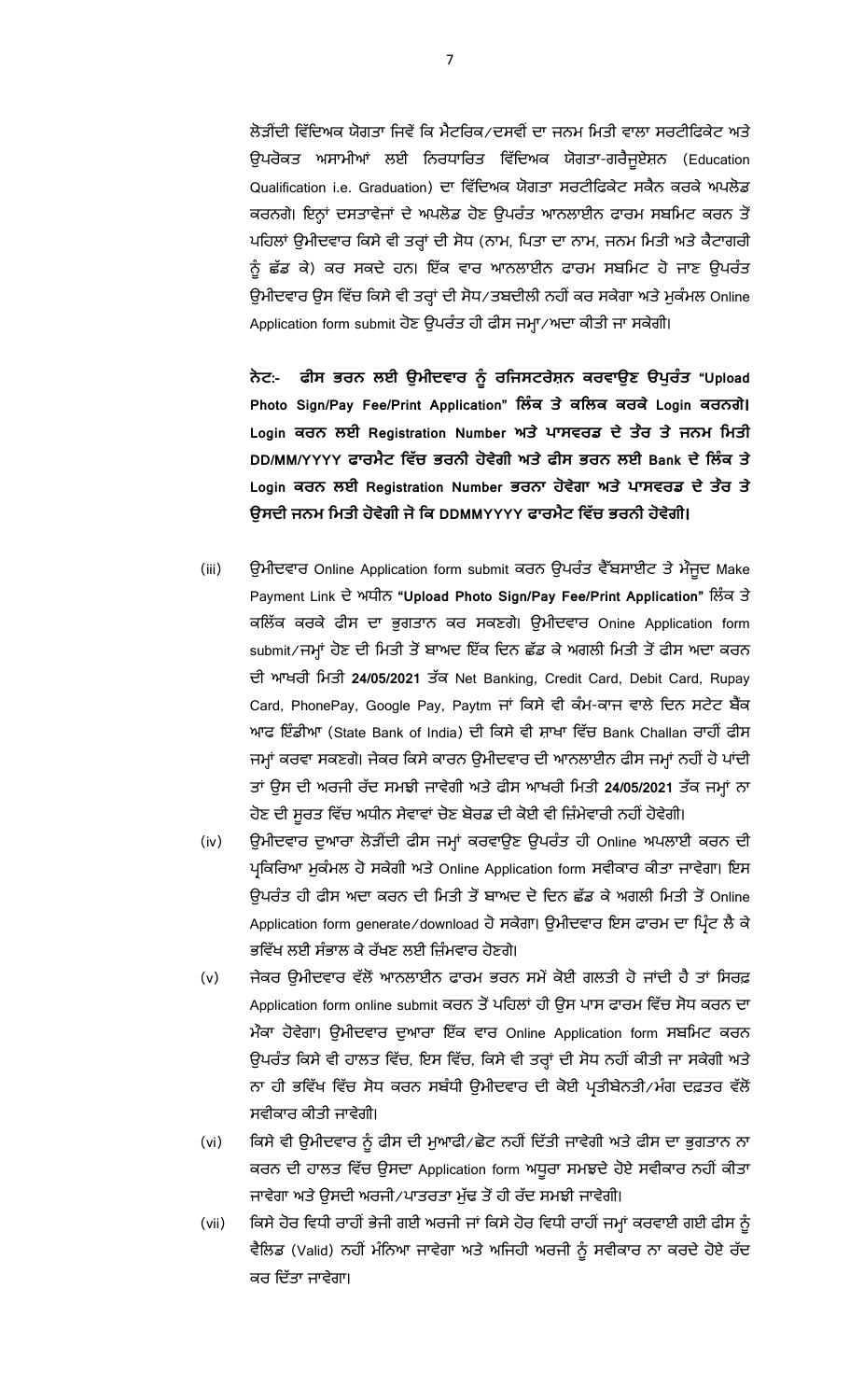ਲੋੜੀਂਦੀ ਵਿੱਦਿਅਕ ਯੋਗਤਾ ਜਿਵੇਂ ਕਿ ਮੈਟਰਿਕ/ਦਸਵੀਂ ਦਾ ਜਨਮ ਮਿਤੀ ਵਾਲਾ ਸਰਟੀਫਿਕੇਟ ਅਤੇ ਉਪਰੋਕਤ ਅਸਾਮੀਆਂ ਲਈ ਨਿਰਧਾਰਿਤ ਵਿੱਦਿਅਕ ਯੋਗਤਾ-ਗਰੈਜੂਏਸ਼ਨ (Education Qualification i.e. Graduation) ਦਾ ਵਿੱਦਿਅਕ ਯੋਗਤਾ ਸਰਟੀਫਿਕੇਟ ਸਕੈਨ ਕਰਕੇ ਅਪਲੋਡ ਕਰਨਗੇ। ਇਨ੍ਹਾਂ ਦਸਤਾਵੇਜਾਂ ਦੇ ਅਪਲੋਡ ਹੋਣ ਉਪਰੰਤ ਆਨਲਾਈਨ ਫਾਰਮ ਸਬਮਿਟ ਕਰਨ ਤੋਂ ਪਹਿਲਾਂ ਉਮੀਦਵਾਰ ਕਿਸੇ ਵੀ ਤਰ੍ਹਾਂ ਦੀ ਸੋਧ (ਨਾਮ, ਪਿਤਾ ਦਾ ਨਾਮ, ਜਨਮ ਮਿਤੀ ਅਤੇ ਕੈਟਾਗਰੀ ਨੂੰ ਛੱਡ ਕੇ) ਕਰ ਸਕਦੇ ਹਨ। ਇੱਕ ਵਾਰ ਆਨਲਾਈਨ ਫਾਰਮ ਸਬਮਿਟ ਹੋ ਜਾਣ ਉਪਰੰਤ ਉਮੀਦਵਾਰ ਉਸ ਵਿੱਚ ਕਿਸੇ ਵੀ ਤਰ੍ਹਾਂ ਦੀ ਸੋਧ/ਤਬਦੀਲੀ ਨਹੀਂ ਕਰ ਸਕੇਗਾ ਅਤੇ ਮੁਕੰਮਲ Online Application form submit ਹੋਣ ਉਪਰੰਤ ਹੀ ਫੀਸ ਜਮ੍ਹਾ⁄ਅਦਾ ਕੀਤੀ ਜਾ ਸਕੇਗੀ।

**ਨ :- ਨ ਈ ਉ ਨ ਜ ਨ ਕ ਉ ਤ "Upload Photo Sign/Pay Fee/Print Application" ਕ ਤ ਕ ਕ ਕ ਕ Login ਕ ਨ ।** Login ਕਰਨ ਲਈ Registration Number ਅਤੇ ਪਾਸਵਰਡ ਦੇ ਤੇਰ ਤੇ ਜਨਮ ਮਿਤੀ **DD/MM/YYYY ਨ ਤ ਨ ਈ Bank ਕ ਤ**  Login ਕਰਨ ਲਈ Registration Number ਭਰਨਾ ਹੋਵੇਗਾ ਅਤੇ ਪਾਸਵਰਡ ਦੇ ਤੇਰ ਤੇ ਉਸਦੀ ਜਨਮ ਮਿਤੀ ਹੋਵੇਗੀ ਜੋ ਕਿ DDMMYYYY ਫਾਰਮੈਟ ਵਿੱਚ ਭਰਨੀ ਹੋਵੇਗੀ।

- (iii) ਉਮੀਦਵਾਰ Online Application form submit ਕਰਨ ਉਪਰੰਤ ਵੈੱਬਸਾਈਟ ਤੇ ਮੌਜੂਦ Make Payment Link **"Upload Photo Sign/Pay Fee/Print Application"**  ਕਲਿੱਕ ਕਰਕੇ ਫੀਸ ਦਾ ਭੁਗਤਾਨ ਕਰ ਸਕਣਗੇ। ਉਮੀਦਵਾਰ Onine Application form submit/ਜਮ੍ਹਾਂ ਹੋਣ ਦੀ ਮਿਤੀ ਤੋਂ ਬਾਅਦ ਇੱਕ ਦਿਨ ਛੱਡ ਕੇ ਅਗਲੀ ਮਿਤੀ ਤੋਂ ਫੀਸ ਅਦਾ ਕਰਨ ਦੀ ਆਖਰੀ ਮਿਤੀ 24/05/2021 ਤੱਕ Net Banking, Credit Card, Debit Card, Rupay Card, PhonePay, Google Pay, Paytm ਜਾਂ ਕਿਸੇ ਵੀ ਕੰਮ-ਕਾਜ ਵਾਲੇ ਦਿਨ ਸਟੇਟ ਬੈਂਕ ਆਫ ਇੰਡੀਆ (State Bank of India) ਦੀ ਕਿਸੇ ਵੀ ਸ਼ਾਖਾ ਵਿੱਚ Bank Challan ਰਾਹੀਂ ਫੀਸ ਜਮ੍ਹਾਂ ਕਰਵਾ ਸਕਣਗੇ। ਜੇਕਰ ਕਿਸੇ ਕਾਰਨ ਉਮੀਦਵਾਰ ਦੀ ਆਨਲਾਈਨ ਫੀਸ ਜਮ੍ਹਾਂ ਨਹੀਂ ਹੋ ਪਾਂਦੀ ਤਾਂ ਉਸ ਦੀ ਅਰਜੀ ਰੱਦ ਸਮਝੀ ਜਾਵੇਗੀ ਅਤੇ ਫੀਸ ਆਖਰੀ ਮਿਤੀ 24/05/2021 ਤੱਕ ਜਮ੍ਹਾਂ ਨਾ ਹੋਣ ਦੀ ਸੂਰਤ ਵਿੱਚ ਅਧੀਨ ਸੇਵਾਵਾਂ ਚੋਣ ਬੋਰਡ ਦੀ ਕੋਈ ਵੀ ਜ਼ਿੰਮੇਵਾਰੀ ਨਹੀਂ ਹੋਵੇਗੀ।
- (iv) ਉਮੀਦਵਾਰ ਦੁਆਰਾ ਲੋੜੀਂਦੀ ਫੀਸ ਜਮ੍ਹਾਂ ਕਰਵਾਉਣ ਉਪਰੰਤ ਹੀ Online ਅਪਲਾਈ ਕਰਨ ਦੀ ਪ੍ਰਕਿਰਿਆ ਮੁਕੰਮਲ ਹੋ ਸਕੇਗੀ ਅਤੇ Online Application form ਸਵੀਕਾਰ ਕੀਤਾ ਜਾਵੇਗਾ। ਇਸ ਉਪਰੰਤ ਹੀ ਫੀਸ ਅਦਾ ਕਰਨ ਦੀ ਮਿਤੀ ਤੋਂ ਬਾਅਦ ਦੋ ਦਿਨ ਛੱਡ ਕੇ ਅਗਲੀ ਮਿਤੀ ਤੋਂ Online Application form generate/download ਹੋ ਸਕੇਗਾ। ਉਮੀਦਵਾਰ ਇਸ ਫਾਰਮ ਦਾ ਪਿੰਟ ਲੈ ਕੇ ਭਵਿੱਖ ਲਈ ਸੰਭਾਲ ਕੇ ਰੱਖਣ ਲਈ ਜ਼ਿੰਮਵਾਰ ਹੋਣਗੇ।
- (v) ਜੇਕਰ ਉਮੀਦਵਾਰ ਵੱਲੋਂ ਆਨਲਾਈਨ ਫਾਰਮ ਭਰਨ ਸਮੇਂ ਕੋਈ ਗਲਤੀ ਹੋ ਜਾਂਦੀ ਹੈ ਤਾਂ ਸਿਰਫ਼ Application form online submit ਕਰਨ ਤੋਂ ਪਹਿਲਾਂ ਹੀ ਉਸ ਪਾਸ ਫਾਰਮ ਵਿੱਚ ਸੋਧ ਕਰਨ ਦਾ ਮੌਕਾ ਹੋਵੇਗਾ। ਉਮੀਦਵਾਰ ਦੁਆਰਾ ਇੱਕ ਵਾਰ Online Application form ਸਬਮਿਟ ਕਰਨ ਉਪਰੰਤ ਕਿਸੇ ਵੀ ਹਾਲਤ ਵਿੱਚ, ਇਸ ਵਿੱਚ, ਕਿਸੇ ਵੀ ਤਰ੍ਹਾਂ ਦੀ ਸੋਧ ਨਹੀਂ ਕੀਤੀ ਜਾ ਸਕੇਗੀ ਅਤੇ ਨਾ ਹੀ ਭਵਿੱਖ ਵਿੱਚ ਸੋਧ ਕਰਨ ਸਬੰਧੀ ਉਮੀਦਵਾਰ ਦੀ ਕੋਈ ਪ੍ਰਤੀਬੇਨਤੀ/ਮੰਗ ਦਫ਼ਤਰ ਵੱਲੋਂ ਸਵੀਕਾਰ ਕੀਤੀ ਜਾਵੇਗੀ।
- (vi) ਕਿਸੇ ਵੀ ਉਮੀਦਵਾਰ ਨੂੰ ਫੀਸ ਦੀ ਮੁਆਫੀ ∕ਛੋਟ ਨਹੀਂ ਦਿੱਤੀ ਜਾਵੇਗੀ ਅਤੇ ਫੀਸ ਦਾ ਭੁਗਤਾਨ ਨਾ ਕਰਨ ਦੀ ਹਾਲਤ ਵਿੱਚ ਉਸਦਾ Application form ਅਧੁਰਾ ਸਮਝਦੇ ਹੋਏ ਸਵੀਕਾਰ ਨਹੀਂ ਕੀਤਾ ਜਾਵੇਗਾ ਅਤੇ ਉਸਦੀ ਅਰਜੀ /ਪਾਤਰਤਾ ਮੁੱਢ ਤੋਂ ਹੀ ਰੱਦ ਸਮਝੀ ਜਾਵੇਗੀ।
- (vii) ਕਿਸੇ ਹੋਰ ਵਿਧੀ ਰਾਹੀਂ ਭੇਜੀ ਗਈ ਅਰਜੀ ਜਾਂ ਕਿਸੇ ਹੋਰ ਵਿਧੀ ਰਾਹੀਂ ਜਮ੍ਹਾਂ ਕਰਵਾਈ ਗਈ ਫੀਸ ਨੂੰ ਵੈਲਿਡ (Valid) ਨਹੀਂ ਮੰਨਿਆ ਜਾਵੇਗਾ ਅਤੇ ਅਜਿਹੀ ਅਰਜੀ ਨੂੰ ਸਵੀਕਾਰ ਨਾ ਕਰਦੇ ਹੋਏ ਰੱਦ ਕਰ ਦਿੱਤਾ ਜਾਵੇਗਾ।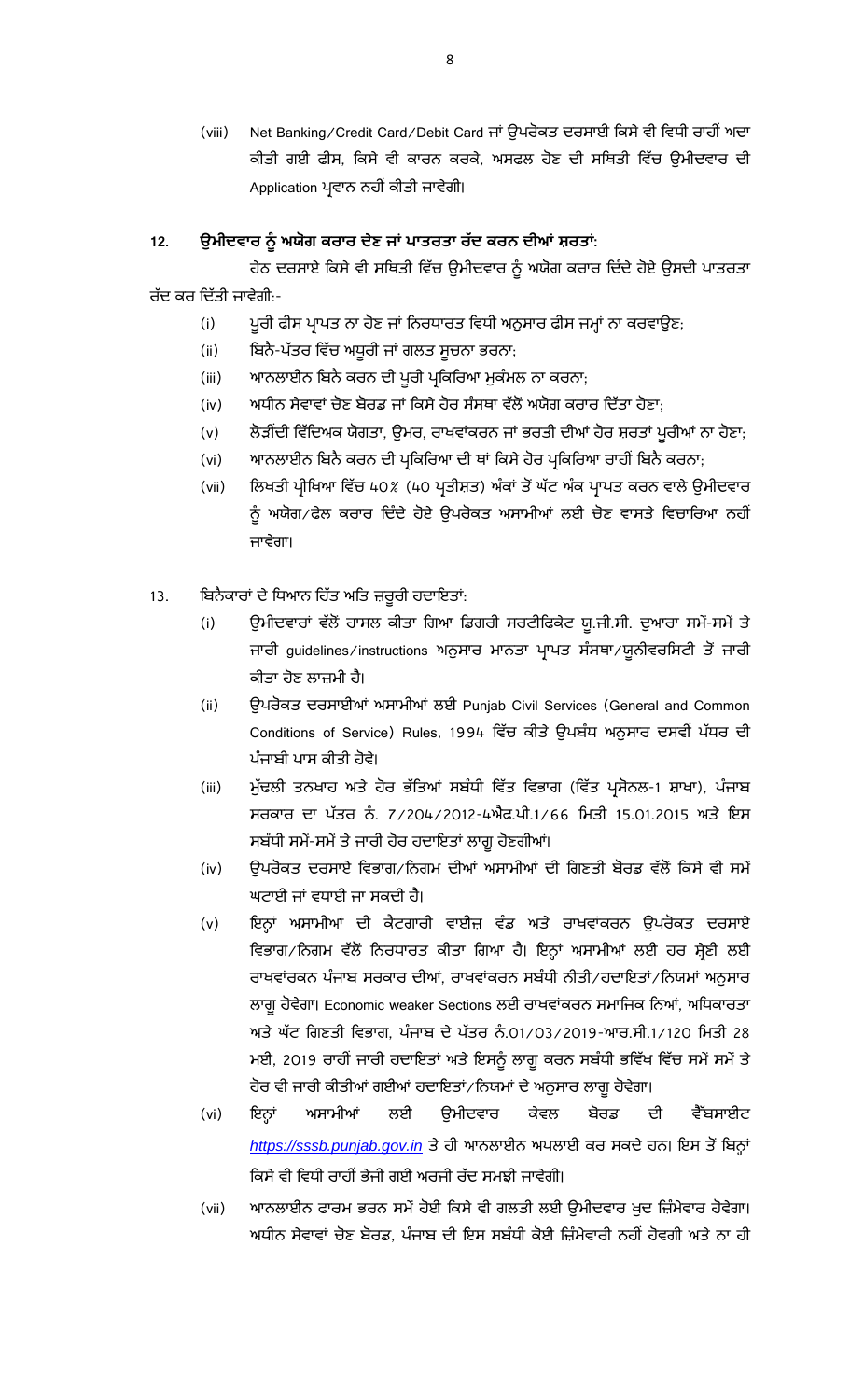(viii) Net Banking/Credit Card/Debit Card ਜਾਂ ਉਪਰੋਕਤ ਦਰਸਾਈ ਕਿਸੇ ਵੀ ਵਿਧੀ ਰਾਹੀਂ ਅਦਾ ਕੀਤੀ ਗਈ ਫੀਸ, ਕਿਸੇ ਵੀ ਕਾਰਨ ਕਰਕੇ, ਅਸਫਲ ਹੋਣ ਦੀ ਸਥਿਤੀ ਵਿੱਚ ਉਮੀਦਵਾਰ ਦੀ Application ਪ੍ਰਵਾਨ ਨਹੀਂ ਕੀਤੀ ਜਾਵੇਗੀ।

## 12. ਉਮੀਦਵਾਰ ਨੂੰ ਅਯੋਗ ਕਰਾਰ ਦੇਣ ਜਾਂ ਪਾਤਰਤਾ ਰੱਦ ਕਰਨ ਦੀਆਂ ਸ਼ਰਤਾਂ:

ਹੇਠ ਦਰਸਾਏ ਕਿਸੇ ਵੀ ਸਥਿਤੀ ਵਿੱਚ ਉਮੀਦਵਾਰ ਨੂੰ ਅਯੋਗ ਕਰਾਰ ਦਿੰਦੇ ਹੋਏ ਉਸਦੀ ਪਾਤਰਤਾ ਜੱਦ ਕਰ ਦਿੱਤੀ ਜਾਵੇਗੀ $\cdot$ -

- (i) ਪੁਰੀ ਫੀਸ ਪ੍ਰਾਪਤ ਨਾ ਹੋਣ ਜਾਂ ਨਿਰਧਾਰਤ ਵਿਧੀ ਅਨੁਸਾਰ ਫੀਸ ਜਮ੍ਹਾਂ ਨਾ ਕਰਵਾਉਣ;
- (ii) ਬਿਨੈ-ਪੱਤਰ ਵਿੱਚ ਅਧੂਰੀ ਜਾਂ ਗਲਤ ਸੂਚਨਾ ਭਰਨਾ,
- (iii) ਆਨਲਾਈਨ ਬਿਨੈ ਕਰਨ ਦੀ ਪੂਰੀ ਪ੍ਰਕਿਰਿਆ ਮੁਕੰਮਲ ਨਾ ਕਰਨਾ;
- (iv) ਅਧੀਨ ਸੇਵਾਵਾਂ ਚੋਣ ਬੋਰਡ ਜਾਂ ਕਿਸੇ ਹੋਰ ਸੰਸਥਾ ਵੱਲੋਂ ਅਯੋਗ ਕਰਾਰ ਦਿੱਤਾ ਹੋਣਾ;
- (v) ਲੇੜੀਂਦੀ ਵਿੱਦਿਅਕ ਯੋਗਤਾ, ਉਮਰ, ਰਾਖਵਾਂਕਰਨ ਜਾਂ ਭਰਤੀ ਦੀਆਂ ਹੋਰ ਸ਼ਰਤਾਂ ਪੁਰੀਆਂ ਨਾ ਹੋਣਾ<del>,</del>
- (vi) ਆਨਲਾਈਨ ਬਿਨੈ ਕਰਨ ਦੀ ਪ੍ਰਕਿਰਿਆ ਦੀ ਥਾਂ ਕਿਸੇ ਹੋਰ ਪ੍ਰਕਿਰਿਆ ਰਾਹੀਂ ਬਿਨੈ ਕਰਨਾ;
- (vii) ਨਿਖਤੀ ਪ੍ਰੀਖਿਆ ਵਿੱਚ 40% (40 ਪ੍ਰਤੀਸ਼ਤ) ਅੰਕਾਂ ਤੋਂ ਘੱਟ ਅੰਕ ਪ੍ਰਾਪਤ ਕਰਨ ਵਾਲੇ ਉਮੀਦਵਾਰ ਨੂੰ ਅਯੋਗ∕ਫੇਲ ਕਰਾਰ ਦਿੰਦੇ ਹੋਏ ਉਪਰੋਕਤ ਅਸਾਮੀਆਂ ਲਈ ਚੋਣ ਵਾਸਤੇ ਵਿਚਾਰਿਆ ਨਹੀਂ ਜਾਵੇਗਾ।
- <u>13. ਬਿਨੈਕਾਰਾਂ ਦੇ ਧਿਆਨ ਹਿੱਤ ਅਤਿ ਜ਼ਰੂਰੀ ਹਦਾਇਤਾਂ:</u>
	- (i) ਉਮੀਦਵਾਰਾਂ ਵੱਲੋਂ ਹਾਸਲ ਕੀਤਾ ਗਿਆ ਡਿਗਰੀ ਸਰਟੀਫਿਕੇਟ ਯੁ.ਜੀ.ਸੀ. ਦੁਆਰਾ ਸਮੇਂ-ਸਮੇਂ ਤੇ ਜਾਰੀ guidelines/instructions ਅਨੁਸਾਰ ਮਾਨਤਾ ਪ੍ਰਾਪਤ ਸੰਸਥਾ/ਯੂਨੀਵਰਸਿਟੀ ਤੋਂ ਜਾਰੀ ਕੀਤਾ ਹੋਣ ਲਾਜ਼ਮੀ ਹੈ।
	- (ii) ਉਪਰੋਕਤ ਦਰਸਾਈਆਂ ਅਸਾਮੀਆਂ ਲਈ Punjab Civil Services (General and Common Conditions of Service) Rules, 1994 ਪੰਜਾਬੀ ਪਾਸ ਕੀਤੀ ਹੋਵੇ।
	- (iii) ਮੁੱਢਲੀ ਤਨਖਾਹ ਅਤੇ ਹੋਰ ਭੱਤਿਆਂ ਸਬੰਧੀ ਵਿੱਤ ਵਿਭਾਗ (ਵਿੱਤ ਪ੍ਰਸੋਨਲ-1 ਸ਼ਾਖਾ), ਪੰਜਾਬ ਸਰਕਾਰ ਦਾ ਪੱਤਰ ਨੰ. 7/204/2012-4ਐਫ.ਪੀ.1/66 ਮਿਤੀ 15.01.2015 ਅਤੇ ਇਸ ਸਬੰਧੀ ਸਮੇਂ-ਸਮੇਂ ਤੇ ਜਾਰੀ ਹੋਰ ਹਦਾਇਤਾਂ ਲਾਗੂ ਹੋਣਗੀਆਂ।
	- (iv) ਉਪਰੋਕਤ ਦਰਸਾਏ ਵਿਭਾਗ ਨਿਗਮ ਦੀਆਂ ਅਸਾਮੀਆਂ ਦੀ ਗਿਣਤੀ ਬੋਰਡ ਵੱਲੋਂ ਕਿਸੇ ਵੀ ਸਮੇਂ ਘਟਾਈ ਜਾਂ ਵਧਾਈ ਜਾ ਸਕਦੀ ਹੈ।
	- (v) ਇਨ੍ਹਾਂ ਅਸਾਮੀਆਂ ਦੀ ਕੈਟਗਾਰੀ ਵਾਈਜ਼ ਵੰਡ ਅਤੇ ਰਾਖਵਾਂਕਰਨ ਉਪਰੋਕਤ ਦਰਸਾਏ ਵਿਭਾਗ/ਨਿਗਮ ਵੱਲੋਂ ਨਿਰਧਾਰਤ ਕੀਤਾ ਗਿਆ ਹੈ। ਇਨ੍ਹਾਂ ਅਸਾਮੀਆਂ ਲਈ ਹਰ ਸ਼੍ਰੇਣੀ ਲਈ ਰਾਖਵਾਂਰਕਨ ਪੰਜਾਬ ਸਰਕਾਰ ਦੀਆਂ, ਰਾਖਵਾਂਕਰਨ ਸਬੰਧੀ ਨੀਤੀ∕ਹਦਾਇਤਾਂ∕ਨਿਯਮਾਂ ਅਨੁਸਾਰ ਲਾਗੂ ਹੋਵੇਗਾ। Economic weaker Sections ਲਈ ਰਾਖਵਾਂਕਰਨ ਸਮਾਜਿਕ ਨਿਆਂ, ਅਧਿਕਾਰਤਾ ਅਤੇ ਘੱਟ ਗਿਣਤੀ ਵਿਭਾਗ, ਪੰਜਾਬ ਦੇ ਪੱਤਰ ਨੰ.01/03/2019-ਆਰ.ਸੀ.1/120 ਮਿਤੀ 28 ਮਈ, 2019 ਰਾਹੀਂ ਜਾਰੀ ਹਦਾਇਤਾਂ ਅਤੇ ਇਸਨੂੰ ਲਾਗੂ ਕਰਨ ਸਬੰਧੀ ਭਵਿੱਖ ਵਿੱਚ ਸਮੇਂ ਸਮੇਂ ਤੇ ਹੋਰ ਵੀ ਜਾਰੀ ਕੀਤੀਆਂ ਗਈਆਂ ਹਦਾਇਤਾਂ ⁄ ਨਿਯਮਾਂ ਦੇ ਅਨੁਸਾਰ ਲਾਗੂ ਹੋਵੇਗਾ।
	- ਅਸਾਮੀਆਂ ਲਈ ਉਮੀਦਵਾਰ ਕੇਵਲ ਬੋਰਡ ਦੀ ਵੈੱਬਸਾਈਟ (vi) ਇਨ੍ਹਾਂ *https://sssb.punjab.gov.in* । ਕਿਸੇ ਵੀ ਵਿਧੀ ਰਾਹੀਂ ਭੇਜੀ ਗਈ ਅਰਜੀ ਰੱਦ ਸਮਝੀ ਜਾਵੇਗੀ।
	- (vii) ਆਨਲਾਈਨ ਫਾਰਮ ਭਰਨ ਸਮੇਂ ਹੋਈ ਕਿਸੇ ਵੀ ਗਲਤੀ ਲਈ ਉਮੀਦਵਾਰ ਖੁਦ ਜ਼ਿੰਮੇਵਾਰ ਹੋਵੇਗਾ। ਅਧੀਨ ਸੇਵਾਵਾਂ ਚੋਣ ਬੋਰਡ, ਪੰਜਾਬ ਦੀ ਇਸ ਸਬੰਧੀ ਕੋਈ ਜ਼ਿੰਮੇਵਾਰੀ ਨਹੀਂ ਹੋਵਗੀ ਅਤੇ ਨਾ ਹੀ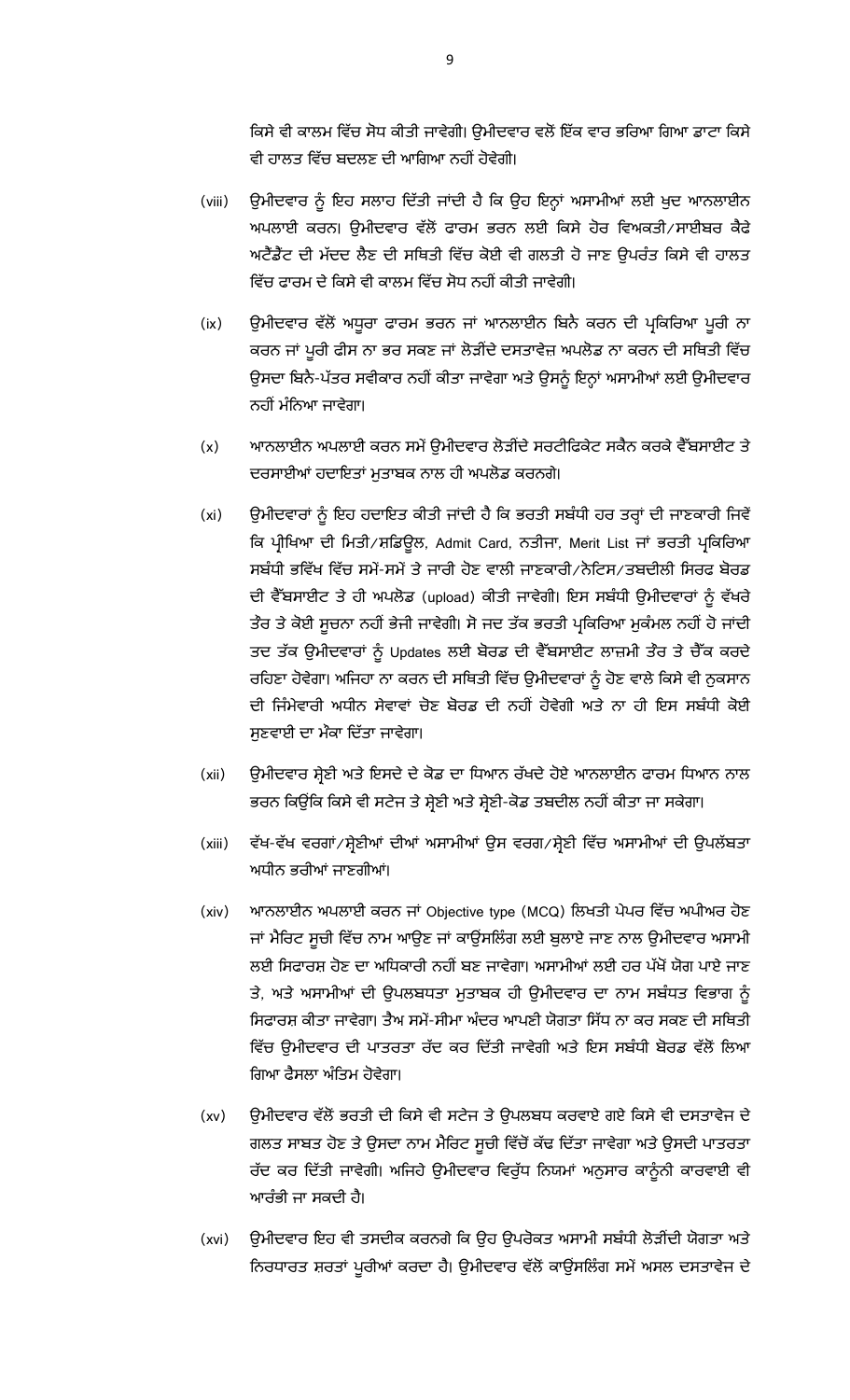ਕਿਸੇ ਵੀ ਕਾਲਮ ਵਿੱਚ ਸੋਧ ਕੀਤੀ ਜਾਵੇਗੀ। ਉਮੀਦਵਾਰ ਵਲੋਂ ਇੱਕ ਵਾਰ ਭਰਿਆ ਗਿਆ ਡਾਟਾ ਕਿਸੇ ਵੀ ਹਾਲਤ ਵਿੱਚ ਬਦਲਣ ਦੀ ਆਗਿਆ ਨਹੀਂ ਹੋਵੇਗੀ।

- (viii) ਉਮੀਦਵਾਰ ਨੂੰ ਇਹ ਸਲਾਹ ਦਿੱਤੀ ਜਾਂਦੀ ਹੈ ਕਿ ਉਹ ਇਨ੍ਹਾਂ ਅਸਾਮੀਆਂ ਲਈ ਖੁਦ ਆਨਲਾਈਨ ਅਪਲਾਈ ਕਰਨ। ਉਮੀਦਵਾਰ ਵੱਲੋਂ ਫਾਰਮ ਭਰਨ ਲਈ ਕਿਸੇ ਹੋਰ ਵਿਅਕਤੀ/ਸਾਈਬਰ ਕੈਫੇ ਅਟੈਂਡੈਂਟ ਦੀ ਮੱਦਦ ਲੈਣ ਦੀ ਸਥਿਤੀ ਵਿੱਚ ਕੋਈ ਵੀ ਗਲਤੀ ਹੋ ਜਾਣ ਉਪਰੰਤ ਕਿਸੇ ਵੀ ਹਾਲਤ ਵਿੱਚ ਫਾਰਮ ਦੇ ਕਿਸੇ ਵੀ ਕਾਲਮ ਵਿੱਚ ਸੋਧ ਨਹੀਂ ਕੀਤੀ ਜਾਵੇਗੀ।
- (ix) ਉਮੀਦਵਾਰ ਵੱਲੋਂ ਅਧੁਰਾ ਫਾਰਮ ਭਰਨ ਜਾਂ ਆਨਲਾਈਨ ਬਿਨੈ ਕਰਨ ਦੀ ਪ੍ਰਕਿਰਿਆ ਪੁਰੀ ਨਾ ਕਰਨ ਜਾਂ ਪੂਰੀ ਫੀਸ ਨਾ ਭਰ ਸਕਣ ਜਾਂ ਲੋੜੀਂਦੇ ਦਸਤਾਵੇਜ਼ ਅਪਲੋਡ ਨਾ ਕਰਨ ਦੀ ਸਥਿਤੀ ਵਿੱਚ ਉਸਦਾ ਬਿਨੈ-ਪੱਤਰ ਸਵੀਕਾਰ ਨਹੀਂ ਕੀਤਾ ਜਾਵੇਗਾ ਅਤੇ ਉਸਨੂੰ ਇਨ੍ਹਾਂ ਅਸਾਮੀਆਂ ਲਈ ਉਮੀਦਵਾਰ ਨਹੀਂ ਮੰਨਿਆ ਜਾਵੇਗਾ।
- (x) ਆਨਲਾਈਨ ਅਪਲਾਈ ਕਰਨ ਸਮੇਂ ਉਮੀਦਵਾਰ ਲੋੜੀਂਦੇ ਸਰਟੀਫਿਕੇਟ ਸਕੈਨ ਕਰਕੇ ਵੈੱਬਸਾਈਟ ਤੇ ਦਰਸਾਈਆਂ ਹਦਾਇਤਾਂ ਮੁਤਾਬਕ ਨਾਲ ਹੀ ਅਪਲੋਡ ਕਰਨਗੇ।
- (xi) ਉਮੀਦਵਾਰਾਂ ਨੂੰ ਇਹ ਹਦਾਇਤ ਕੀਤੀ ਜਾਂਦੀ ਹੈ ਕਿ ਭਰਤੀ ਸਬੰਧੀ ਹਰ ਤਰ੍ਹਾਂ ਦੀ ਜਾਣਕਾਰੀ ਜਿਵੇਂ ਕਿ ਪ੍ਰੀਖਿਆ ਦੀ ਮਿਤੀ/ਸ਼ਡਿਉਲ, Admit Card, ਨਤੀਜਾ, Merit List ਜਾਂ ਭਰਤੀ ਪ੍ਰਕਿਰਿਆ ਸਬੰਧੀ ਭਵਿੱਖ ਵਿੱਚ ਸਮੇਂ-ਸਮੇਂ ਤੇ ਜਾਰੀ ਹੋਣ ਵਾਲੀ ਜਾਣਕਾਰੀ /ਨੇਟਿਸ/ਤਬਦੀਲੀ ਸਿਰਫ ਬੋਰਡ ਦੀ ਵੈੱਬਸਾਈਟ ਤੇ ਹੀ ਅਪਲੋਡ (upload) ਕੀਤੀ ਜਾਵੇਗੀ। ਇਸ ਸਬੰਧੀ ਉਮੀਦਵਾਰਾਂ ਨੂੰ ਵੱਖਰੇ ਤੌਰ ਤੇ ਕੋਈ ਸੂਚਨਾ ਨਹੀਂ ਭੇਜੀ ਜਾਵੇਗੀ। ਸੋ ਜਦ ਤੱਕ ਭਰਤੀ ਪ੍ਰਕਿਰਿਆ ਮੁਕੰਮਲ ਨਹੀਂ ਹੋ ਜਾਂਦੀ ਤਦ ਤੱਕ ਉਮੀਦਵਾਰਾਂ ਨੂੰ Updates ਲਈ ਬੋਰਡ ਦੀ ਵੈੱਬਸਾਈਟ ਲਾਜ਼ਮੀ ਤੌਰ ਤੇ ਚੈੱਕ ਕਰਦੇ ਰਹਿਣਾ ਹੋਵੇਗਾ। ਅਜਿਹਾ ਨਾ ਕਰਨ ਦੀ ਸਥਿਤੀ ਵਿੱਚ ਉਮੀਦਵਾਰਾਂ ਨੂੰ ਹੋਣ ਵਾਲੇ ਕਿਸੇ ਵੀ ਨੁਕਸਾਨ ਦੀ ਜਿੰਮੇਵਾਰੀ ਅਧੀਨ ਸੇਵਾਵਾਂ ਚੋਣ ਬੋਰਡ ਦੀ ਨਹੀਂ ਹੋਵੇਗੀ ਅਤੇ ਨਾ ਹੀ ਇਸ ਸਬੰਧੀ ਕੋਈ ਸੁਣਵਾਈ ਦਾ ਮੌਕਾ ਦਿੱਤਾ ਜਾਵੇਗਾ।
- (xii) ਉਮੀਦਵਾਰ ਸ਼ੇਣੀ ਅਤੇ ਇਸਦੇ ਦੇ ਕੋਡ ਦਾ ਧਿਆਨ ਰੱਖਦੇ ਹੋਏ ਆਨਲਾਈਨ ਫਾਰਮ ਧਿਆਨ ਨਾਲ ਭਰਨ ਕਿਉਂਕਿ ਕਿਸੇ ਵੀ ਸਟੇਜ ਤੇ ਸ਼੍ਰੇਣੀ ਅਤੇ ਸ਼੍ਰੇਣੀ-ਕੋਡ ਤਬਦੀਲ ਨਹੀਂ ਕੀਤਾ ਜਾ ਸਕੇਗਾ।
- (xiii) ਵੱਖ-ਵੱਖ ਵਰਗਾਂ/ਸ਼੍ਰੇਣੀਆਂ ਦੀਆਂ ਅਸਾਮੀਆਂ ਉਸ ਵਰਗ/ਸ਼੍ਰੇਣੀ ਵਿੱਚ ਅਸਾਮੀਆਂ ਦੀ ਉਪਲੱਬਤਾ ਅਧੀਨ ਭਰੀਆਂ ਜਾਣਗੀਆਂ।
- (xiv) ਆਨਲਾਈਨ ਅਪਲਾਈ ਕਰਨ ਜਾਂ Objective type (MCQ) ਲਿਖਤੀ ਪੇਪਰ ਵਿੱਚ ਅਪੀਅਰ ਹੋਣ ਜਾਂ ਮੈਰਿਟ ਸੂਚੀ ਵਿੱਚ ਨਾਮ ਆਉਣ ਜਾਂ ਕਾਉਂਸਲਿੰਗ ਲਈ ਬੁਲਾਏ ਜਾਣ ਨਾਲ ਉਮੀਦਵਾਰ ਅਸਾਮੀ ਲਈ ਸਿਫਾਰਸ਼ ਹੋਣ ਦਾ ਅਧਿਕਾਰੀ ਨਹੀਂ ਬਣ ਜਾਵੇਗਾ। ਅਸਾਮੀਆਂ ਲਈ ਹਰ ਪੱਖੋਂ ਯੋਗ ਪਾਏ ਜਾਣ ਤੇ, ਅਤੇ ਅਸਾਮੀਆਂ ਦੀ ਉਪਲਬਧਤਾ ਮੁਤਾਬਕ ਹੀ ਉਮੀਦਵਾਰ ਦਾ ਨਾਮ ਸਬੰਧਤ ਵਿਭਾਗ ਨੂੰ ਸਿਫਾਰਸ਼ ਕੀਤਾ ਜਾਵੇਗਾ। ਤੈਅ ਸਮੇਂ-ਸੀਮਾ ਅੰਦਰ ਆਪਣੀ ਯੋਗਤਾ ਸਿੱਧ ਨਾ ਕਰ ਸਕਣ ਦੀ ਸਥਿਤੀ ਵਿੱਚ ਉਮੀਦਵਾਰ ਦੀ ਪਾਤਰਤਾ ਰੱਦ ਕਰ ਦਿੱਤੀ ਜਾਵੇਗੀ ਅਤੇ ਇਸ ਸਬੰਧੀ ਬੋਰਡ ਵੱਲੋਂ ਲਿਆ ਗਿਆ ਫੈਸਲਾ ਅੰਤਿਮ ਹੋਵੇਗਾ।
- (xv) ਉਮੀਦਵਾਰ ਵੱਲੋਂ ਭਰਤੀ ਦੀ ਕਿਸੇ ਵੀ ਸਟੇਜ ਤੇ ਉਪਲਬਧ ਕਰਵਾਏ ਗਏ ਕਿਸੇ ਵੀ ਦਸਤਾਵੇਜ ਦੇ ਗਲਤ ਸਾਬਤ ਹੋਣ ਤੇ ਉਸਦਾ ਨਾਮ ਮੈਰਿਟ ਸੁਚੀ ਵਿੱਚੋਂ ਕੱਢ ਦਿੱਤਾ ਜਾਵੇਗਾ ਅਤੇ ਉਸਦੀ ਪਾਤਰਤਾ ਰੱਦ ਕਰ ਦਿੱਤੀ ਜਾਵੇਗੀ। ਅਜਿਹੇ ਉਮੀਦਵਾਰ ਵਿਰੁੱਧ ਨਿਯਮਾਂ ਅਨੁਸਾਰ ਕਾਨੂੰਨੀ ਕਾਰਵਾਈ ਵੀ ਆਰੰਭੀ ਜਾ ਸਕਦੀ ਹੈ।
- (xvi) ਉਮੀਦਵਾਰ ਇਹ ਵੀ ਤਸਦੀਕ ਕਰਨਗੇ ਕਿ ਉਹ ਉਪਰੋਕਤ ਅਸਾਮੀ ਸਬੰਧੀ ਲੋੜੀਂਦੀ ਯੋਗਤਾ ਅਤੇ ਨਿਰਧਾਰਤ ਸ਼ਰਤਾਂ ਪੁਰੀਆਂ ਕਰਦਾ ਹੈ। ਉਮੀਦਵਾਰ ਵੱਲੋਂ ਕਾਊਂਸਲਿੰਗ ਸਮੇਂ ਅਸਲ ਦਸਤਾਵੇਜ ਦੇ